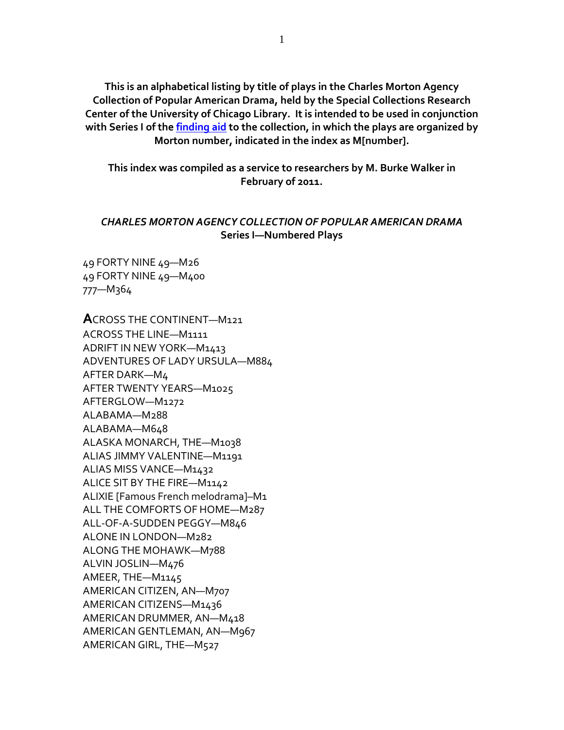**This is an alphabetical listing by title of plays in the Charles Morton Agency Collection of Popular American Drama, held by the Special Collections Research Center of the University of Chicago Library. It is intended to be used in conjunction with Series I of the [finding aid](https://www.lib.uchicago.edu/e/scrc/findingaids/view.php?eadid=ICU.SPCL.MORTONAGENCY) to the collection, in which the plays are organized by Morton number, indicated in the index as M[number].**

**This index was compiled as a service to researchers by M. Burke Walker in February of 2011.**

## *CHARLES MORTON AGENCY COLLECTION OF POPULAR AMERICAN DRAMA* **Series I—Numbered Plays**

49 FORTY NINE 49—M26 49 FORTY NINE 49—M400 777—M364

**A**CROSS THE CONTINENT—M121 ACROSS THE LINE—M1111 ADRIFT IN NEW YORK—M1413 ADVENTURES OF LADY URSULA—M884 AFTER DARK—M4 AFTER TWENTY YEARS—M1025 AFTERGLOW—M1272 ALABAMA—M288 ALABAMA—M648 ALASKA MONARCH, THE—M1038 ALIAS JIMMY VALENTINE—M1191 ALIAS MISS VANCE—M1432 ALICE SIT BY THE FIRE—M1142 ALIXIE [Famous French melodrama]–M1 ALL THE COMFORTS OF HOME—M287 ALL-OF-A-SUDDEN PEGGY—M846 ALONE IN LONDON—M282 ALONG THE MOHAWK—M788 ALVIN JOSLIN—M476 AMEER, THE—M1145 AMERICAN CITIZEN, AN—M707 AMERICAN CITIZENS—M1436 AMERICAN DRUMMER, AN—M418 AMERICAN GENTLEMAN, AN—M967 AMERICAN GIRL, THE—M527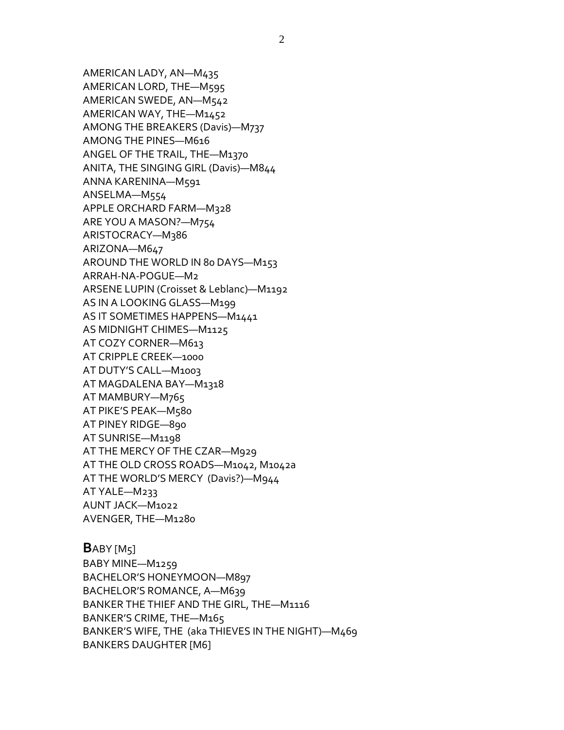AMERICAN LADY, AN—M435 AMERICAN LORD, THE—M595 AMERICAN SWEDE, AN—M542 AMERICAN WAY, THE—M1452 AMONG THE BREAKERS (Davis)—M737 AMONG THE PINES—M616 ANGEL OF THE TRAIL, THE—M1370 ANITA, THE SINGING GIRL (Davis)—M844 ANNA KARENINA—M591 ANSELMA—M554 APPLE ORCHARD FARM—M328 ARE YOU A MASON?—M754 ARISTOCRACY—M386 ARIZONA—M647 AROUND THE WORLD IN 80 DAYS—M153 ARRAH-NA-POGUE—M2 ARSENE LUPIN (Croisset & Leblanc)—M1192 AS IN A LOOKING GLASS—M199 AS IT SOMETIMES HAPPENS—M1441 AS MIDNIGHT CHIMES—M1125 AT COZY CORNER—M613 AT CRIPPLE CREEK—1000 AT DUTY'S CALL—M1003 AT MAGDALENA BAY—M1318 AT MAMBURY—M765 AT PIKE'S PEAK—M580 AT PINEY RIDGE—890 AT SUNRISE—M1198 AT THE MERCY OF THE CZAR—M929 AT THE OLD CROSS ROADS—M1042, M1042a AT THE WORLD'S MERCY (Davis?)—M944 AT YALE—M233 AUNT JACK—M1022 AVENGER, THE—M1280

**B**ABY [M5] BABY MINE—M1259 BACHELOR'S HONEYMOON—M897 BACHELOR'S ROMANCE, A—M639 BANKER THE THIEF AND THE GIRL, THE—M1116 BANKER'S CRIME, THE—M165 BANKER'S WIFE, THE (aka THIEVES IN THE NIGHT)—M469 BANKERS DAUGHTER [M6]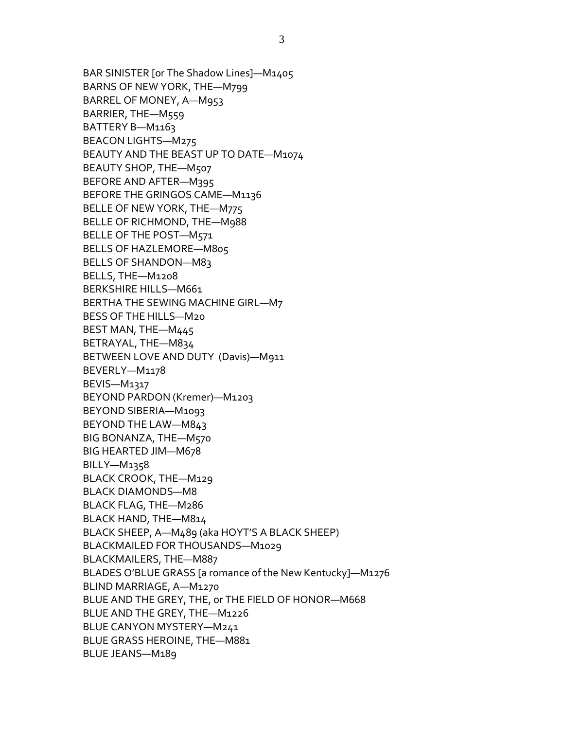BAR SINISTER [or The Shadow Lines]—M1405 BARNS OF NEW YORK, THE—M799 BARREL OF MONEY, A—M953 BARRIER, THE—M559 BATTERY B—M1163 BEACON LIGHTS—M275 BEAUTY AND THE BEAST UP TO DATE—M1074 BEAUTY SHOP, THE—M507 BEFORE AND AFTER—M395 BEFORE THE GRINGOS CAME—M1136 BELLE OF NEW YORK, THE—M775 BELLE OF RICHMOND, THE—M988 BELLE OF THE POST—M571 BELLS OF HAZLEMORE—M805 BELLS OF SHANDON—M83 BELLS, THE—M1208 BERKSHIRE HILLS—M661 BERTHA THE SEWING MACHINE GIRL—M7 BESS OF THE HILLS—M20 BEST MAN, THE—M445 BETRAYAL, THE—M834 BETWEEN LOVE AND DUTY (Davis)—M911 BEVERLY—M1178 BEVIS—M1317 BEYOND PARDON (Kremer)—M1203 BEYOND SIBERIA—M1093 BEYOND THE LAW—M843 BIG BONANZA, THE—M570 BIG HEARTED JIM—M678 BILLY—M1358 BLACK CROOK, THE—M129 BLACK DIAMONDS—M8 BLACK FLAG, THE—M286 BLACK HAND, THE—M814 BLACK SHEEP, A—M489 (aka HOYT'S A BLACK SHEEP) BLACKMAILED FOR THOUSANDS—M1029 BLACKMAILERS, THE—M887 BLADES O'BLUE GRASS [a romance of the New Kentucky]—M1276 BLIND MARRIAGE, A—M1270 BLUE AND THE GREY, THE, or THE FIELD OF HONOR—M668 BLUE AND THE GREY, THE—M1226 BLUE CANYON MYSTERY—M241 BLUE GRASS HEROINE, THE—M881 BLUE JEANS—M189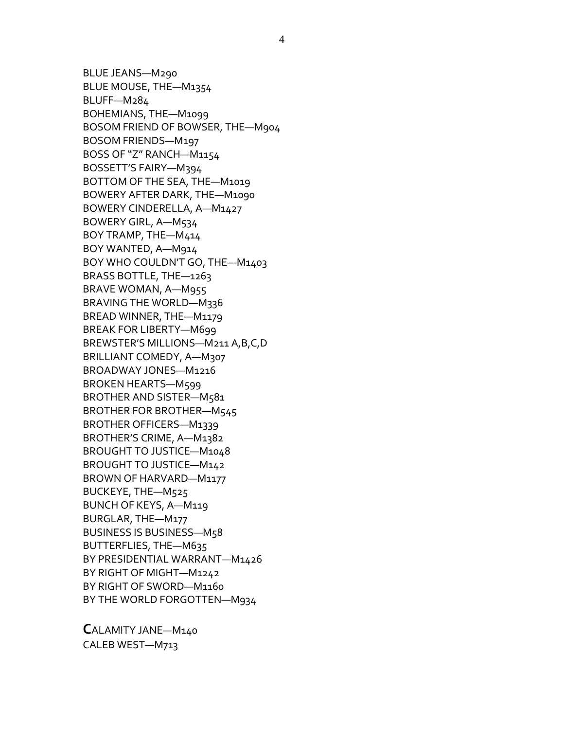BLUE JEANS—M290 BLUE MOUSE, THE—M1354 BLUFF—M284 BOHEMIANS, THE—M1099 BOSOM FRIEND OF BOWSER, THE—M904 BOSOM FRIENDS—M197 BOSS OF "Z" RANCH—M1154 BOSSETT'S FAIRY—M394 BOTTOM OF THE SEA, THE—M1019 BOWERY AFTER DARK, THE—M1090 BOWERY CINDERELLA, A—M1427 BOWERY GIRL, A—M534 BOY TRAMP, THE—M414 BOY WANTED, A—M914 BOY WHO COULDN'T GO, THE—M1403 BRASS BOTTLE, THE—1263 BRAVE WOMAN, A—M955 BRAVING THE WORLD—M336 BREAD WINNER, THE—M1179 BREAK FOR LIBERTY—M699 BREWSTER'S MILLIONS—M211 A,B,C,D BRILLIANT COMEDY, A-M307 BROADWAY JONES—M1216 BROKEN HEARTS—M599 BROTHER AND SISTER—M581 BROTHER FOR BROTHER—M545 BROTHER OFFICERS—M1339 BROTHER'S CRIME, A—M1382 BROUGHT TO JUSTICE—M1048 BROUGHT TO JUSTICE—M142 BROWN OF HARVARD—M1177 BUCKEYE, THE—M525 BUNCH OF KEYS, A—M119 BURGLAR, THE—M177 BUSINESS IS BUSINESS—M58 BUTTERFLIES, THE—M635 BY PRESIDENTIAL WARRANT—M1426 BY RIGHT OF MIGHT—M1242 BY RIGHT OF SWORD—M1160 BY THE WORLD FORGOTTEN—M934

**C**ALAMITY JANE—M140 CALEB WEST—M713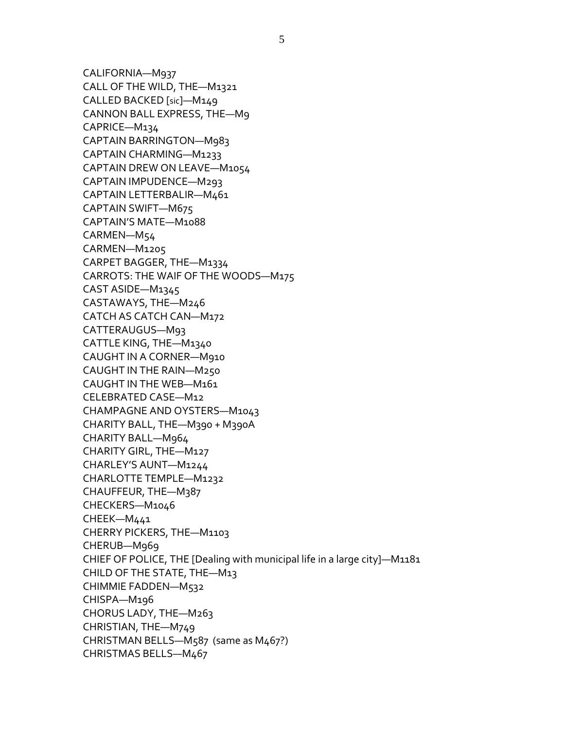CALIFORNIA—M937 CALL OF THE WILD, THE—M1321 CALLED BACKED [sic]—M149 CANNON BALL EXPRESS, THE—M9 CAPRICE—M134 CAPTAIN BARRINGTON—M983 CAPTAIN CHARMING—M1233 CAPTAIN DREW ON LEAVE—M1054 CAPTAIN IMPUDENCE—M293 CAPTAIN LETTERBALIR—M461 CAPTAIN SWIFT—M675 CAPTAIN'S MATE—M1088 CARMEN—M54 CARMEN—M1205 CARPET BAGGER, THE—M1334 CARROTS: THE WAIF OF THE WOODS—M175 CAST ASIDE—M1345 CASTAWAYS, THE—M246 CATCH AS CATCH CAN—M172 CATTERAUGUS—M93 CATTLE KING, THE—M1340 CAUGHT IN A CORNER—M910 CAUGHT IN THE RAIN—M250 CAUGHT IN THE WEB—M161 CELEBRATED CASE—M12 CHAMPAGNE AND OYSTERS—M1043 CHARITY BALL, THE—M390 + M390A CHARITY BALL—M964 CHARITY GIRL, THE—M127 CHARLEY'S AUNT—M1244 CHARLOTTE TEMPLE—M1232 CHAUFFEUR, THE—M387 CHECKERS—M1046 CHEEK—M441 CHERRY PICKERS, THE—M1103 CHERUB—M969 CHIEF OF POLICE, THE [Dealing with municipal life in a large city]—M1181 CHILD OF THE STATE, THE—M13 CHIMMIE FADDEN—M532 CHISPA—M196 CHORUS LADY, THE—M263 CHRISTIAN, THE—M749 CHRISTMAN BELLS—M587 (same as M467?) CHRISTMAS BELLS—M467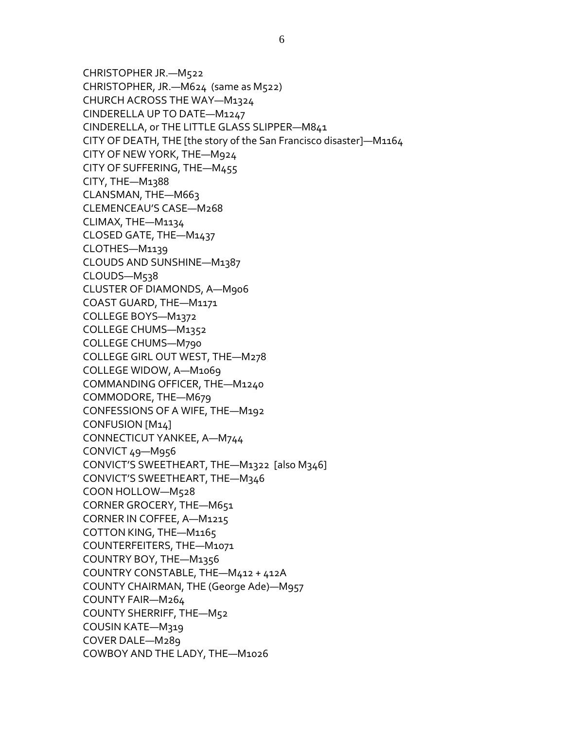CHRISTOPHER JR.—M522 CHRISTOPHER, JR.—M624 (same as M522) CHURCH ACROSS THE WAY—M1324 CINDERELLA UP TO DATE—M1247 CINDERELLA, or THE LITTLE GLASS SLIPPER—M841 CITY OF DEATH, THE [the story of the San Francisco disaster]—M1164 CITY OF NEW YORK, THE—M924 CITY OF SUFFERING, THE—M455 CITY, THE—M1388 CLANSMAN, THE—M663 CLEMENCEAU'S CASE—M268 CLIMAX, THE—M1134 CLOSED GATE, THE—M1437 CLOTHES—M1139 CLOUDS AND SUNSHINE—M1387 CLOUDS—M538 CLUSTER OF DIAMONDS, A—M906 COAST GUARD, THE—M1171 COLLEGE BOYS—M1372 COLLEGE CHUMS—M1352 COLLEGE CHUMS—M790 COLLEGE GIRL OUT WEST, THE—M278 COLLEGE WIDOW, A—M1069 COMMANDING OFFICER, THE—M1240 COMMODORE, THE—M679 CONFESSIONS OF A WIFE, THE—M192 CONFUSION [M14] CONNECTICUT YANKEE, A—M744 CONVICT 49—M956 CONVICT'S SWEETHEART, THE—M1322 [also M346] CONVICT'S SWEETHEART, THE—M346 COON HOLLOW—M528 CORNER GROCERY, THE—M651 CORNER IN COFFEE, A—M1215 COTTON KING, THE—M1165 COUNTERFEITERS, THE—M1071 COUNTRY BOY, THE—M1356 COUNTRY CONSTABLE, THE—M412 + 412A COUNTY CHAIRMAN, THE (George Ade)—M957 COUNTY FAIR—M264 COUNTY SHERRIFF, THE—M52 COUSIN KATE—M319 COVER DALE—M289 COWBOY AND THE LADY, THE—M1026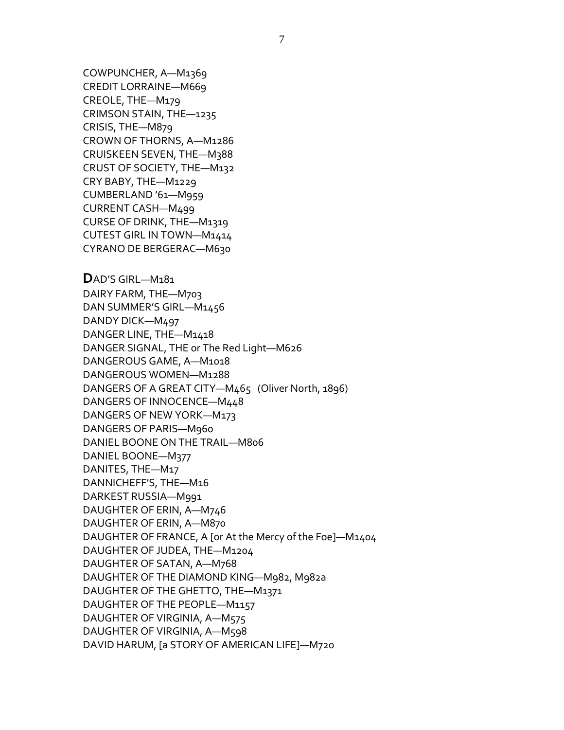COWPUNCHER, A—M1369 CREDIT LORRAINE—M669 CREOLE, THE—M179 CRIMSON STAIN, THE—1235 CRISIS, THE—M879 CROWN OF THORNS, A—M1286 CRUISKEEN SEVEN, THE—M388 CRUST OF SOCIETY, THE—M132 CRY BABY, THE—M1229 CUMBERLAND '61—M959 CURRENT CASH—M499 CURSE OF DRINK, THE—M1319 CUTEST GIRL IN TOWN—M1414 CYRANO DE BERGERAC—M630

**D**AD'S GIRL—M181 DAIRY FARM, THE—M703 DAN SUMMER'S GIRL—M1456 DANDY DICK—M497 DANGER LINE, THE—M1418 DANGER SIGNAL, THE or The Red Light—M626 DANGEROUS GAME, A—M1018 DANGEROUS WOMEN—M1288 DANGERS OF A GREAT CITY—M465 (Oliver North, 1896) DANGERS OF INNOCENCE—M448 DANGERS OF NEW YORK—M173 DANGERS OF PARIS—M960 DANIEL BOONE ON THE TRAIL—M806 DANIEL BOONE—M377 DANITES, THE—M17 DANNICHEFF'S, THE—M16 DARKEST RUSSIA—M991 DAUGHTER OF ERIN, A—M746 DAUGHTER OF ERIN, A—M870 DAUGHTER OF FRANCE, A [or At the Mercy of the Foe]—M1404 DAUGHTER OF JUDEA, THE—M1204 DAUGHTER OF SATAN, A—M768 DAUGHTER OF THE DIAMOND KING—M982, M982a DAUGHTER OF THE GHETTO, THE—M1371 DAUGHTER OF THE PEOPLE—M1157 DAUGHTER OF VIRGINIA, A—M575 DAUGHTER OF VIRGINIA, A—M598 DAVID HARUM, [a STORY OF AMERICAN LIFE]—M720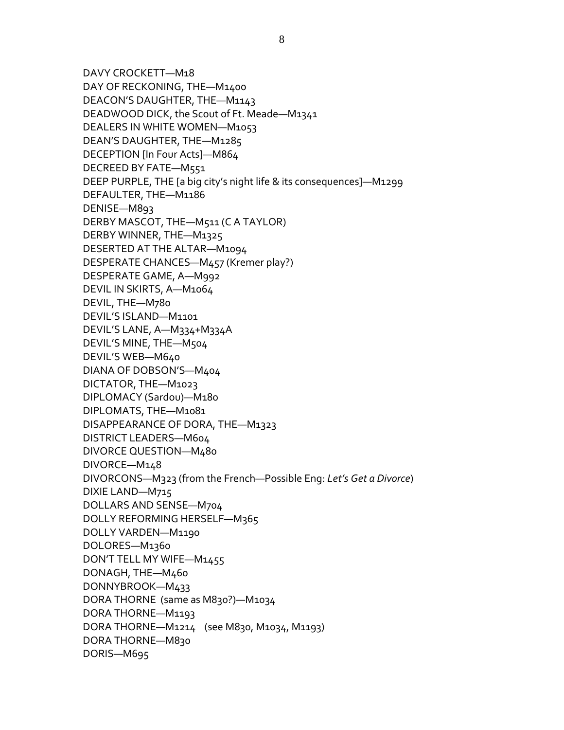DAVY CROCKETT—M18 DAY OF RECKONING, THE—M1400 DEACON'S DAUGHTER, THE—M1143 DEADWOOD DICK, the Scout of Ft. Meade—M1341 DEALERS IN WHITE WOMEN—M1053 DEAN'S DAUGHTER, THE—M1285 DECEPTION [In Four Acts]—M864 DECREED BY FATE—M551 DEEP PURPLE, THE [a big city's night life & its consequences]—M1299 DEFAULTER, THE—M1186 DENISE—M893 DERBY MASCOT, THE—M511 (C A TAYLOR) DERBY WINNER, THE—M1325 DESERTED AT THE ALTAR—M1094 DESPERATE CHANCES—M457 (Kremer play?) DESPERATE GAME, A—M992 DEVIL IN SKIRTS, A—M1064 DEVIL, THE—M780 DEVIL'S ISLAND—M1101 DEVIL'S LANE, A—M334+M334A DEVIL'S MINE, THE—M504 DEVIL'S WEB—M640 DIANA OF DOBSON'S—M404 DICTATOR, THE—M1023 DIPLOMACY (Sardou)—M180 DIPLOMATS, THE—M1081 DISAPPEARANCE OF DORA, THE—M1323 DISTRICT LEADERS—M604 DIVORCE QUESTION—M480 DIVORCE—M148 DIVORCONS—M323 (from the French—Possible Eng: *Let's Get a Divorce*) DIXIE LAND—M715 DOLLARS AND SENSE—M704 DOLLY REFORMING HERSELF—M365 DOLLY VARDEN—M1190 DOLORES—M1360 DON'T TELL MY WIFE—M1455 DONAGH, THE—M460 DONNYBROOK—M433 DORA THORNE (same as M830?)—M1034 DORA THORNE—M1193 DORA THORNE—M1214 (see M830, M1034, M1193) DORA THORNE—M830 DORIS—M695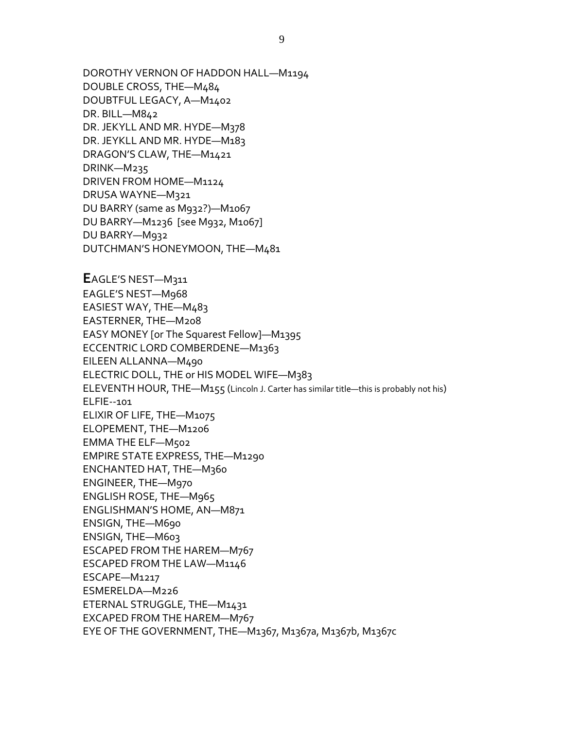DOROTHY VERNON OF HADDON HALL—M1194 DOUBLE CROSS, THE—M484 DOUBTFUL LEGACY, A—M1402 DR. BILL—M842 DR. JEKYLL AND MR. HYDE—M378 DR. JEYKLL AND MR. HYDE—M183 DRAGON'S CLAW, THE—M1421 DRINK—M235 DRIVEN FROM HOME—M1124 DRUSA WAYNE—M321 DU BARRY (same as M932?)—M1067 DU BARRY—M1236 [see M932, M1067] DU BARRY—M932 DUTCHMAN'S HONEYMOON, THE—M481

**E**AGLE'S NEST—M311 EAGLE'S NEST—M968 EASIEST WAY, THE—M483 EASTERNER, THE—M208 EASY MONEY [or The Squarest Fellow]—M1395 ECCENTRIC LORD COMBERDENE—M1363 EILEEN ALLANNA—M490 ELECTRIC DOLL, THE or HIS MODEL WIFE—M383 ELEVENTH HOUR, THE—M155 (Lincoln J. Carter has similar title—this is probably not his) ELFIE--101 ELIXIR OF LIFE, THE—M1075 ELOPEMENT, THE—M1206 EMMA THE ELF—M502 EMPIRE STATE EXPRESS, THE—M1290 ENCHANTED HAT, THE—M360 ENGINEER, THE—M970 ENGLISH ROSE, THE—M965 ENGLISHMAN'S HOME, AN—M871 ENSIGN, THE—M690 ENSIGN, THE—M603 ESCAPED FROM THE HAREM—M767 ESCAPED FROM THE LAW—M1146 ESCAPE—M1217 ESMERELDA—M226 ETERNAL STRUGGLE, THE—M1431 EXCAPED FROM THE HAREM—M767 EYE OF THE GOVERNMENT, THE—M1367, M1367a, M1367b, M1367c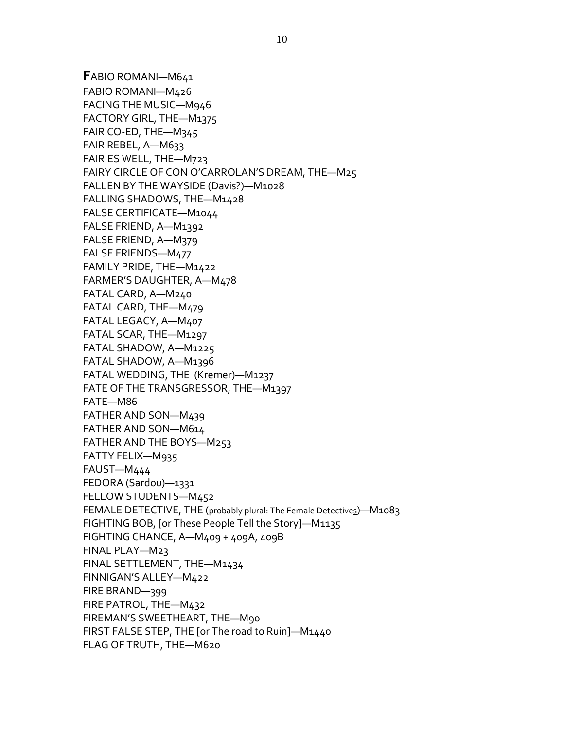**F**ABIO ROMANI—M641 FABIO ROMANI—M426 FACING THE MUSIC—M946 FACTORY GIRL, THE—M1375 FAIR CO-ED, THE—M345 FAIR REBEL, A—M633 FAIRIES WELL, THE—M723 FAIRY CIRCLE OF CON O'CARROLAN'S DREAM, THE—M25 FALLEN BY THE WAYSIDE (Davis?)—M1028 FALLING SHADOWS, THE—M1428 FALSE CERTIFICATE—M1044 FALSE FRIEND, A—M1392 FALSE FRIEND, A—M379 FALSE FRIENDS—M477 FAMILY PRIDE, THE—M1422 FARMER'S DAUGHTER, A—M478 FATAL CARD, A—M240 FATAL CARD, THE—M479 FATAL LEGACY, A—M407 FATAL SCAR, THE—M1297 FATAL SHADOW, A—M1225 FATAL SHADOW, A—M1396 FATAL WEDDING, THE (Kremer)—M1237 FATE OF THE TRANSGRESSOR, THE—M1397 FATE—M86 FATHER AND SON—M439 FATHER AND SON—M614 FATHER AND THE BOYS—M253 FATTY FELIX—M935 FAUST—M444 FEDORA (Sardou)—1331 FELLOW STUDENTS—M452 FEMALE DETECTIVE, THE (probably plural: The Female Detectives)—M1083 FIGHTING BOB, [or These People Tell the Story]—M1135 FIGHTING CHANCE, A—M409 + 409A, 409B FINAL PLAY—M23 FINAL SETTLEMENT, THE—M1434 FINNIGAN'S ALLEY—M422 FIRE BRAND—399 FIRE PATROL, THE—M432 FIREMAN'S SWEETHEART, THE—M90 FIRST FALSE STEP, THE [or The road to Ruin]—M1440 FLAG OF TRUTH, THE—M620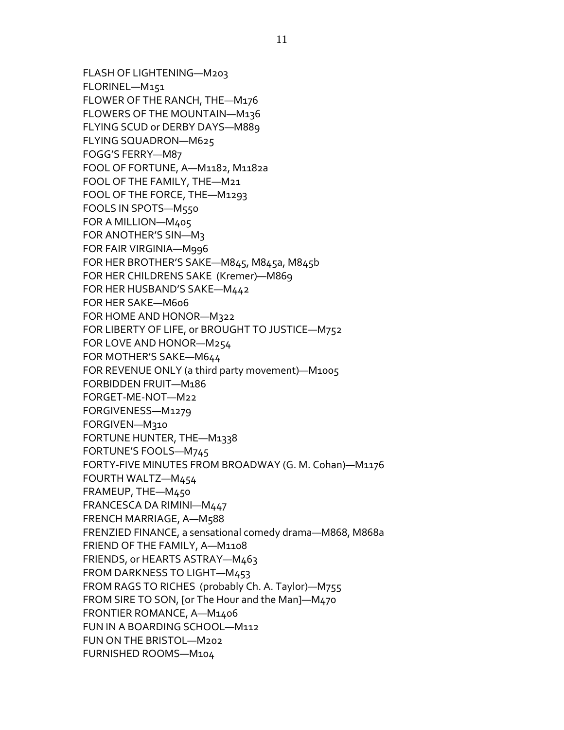FLASH OF LIGHTENING—M203 FLORINEL—M151 FLOWER OF THE RANCH, THE—M176 FLOWERS OF THE MOUNTAIN—M136 FLYING SCUD or DERBY DAYS—M889 FLYING SQUADRON—M625 FOGG'S FERRY—M87 FOOL OF FORTUNE, A—M1182, M1182a FOOL OF THE FAMILY, THE—M21 FOOL OF THE FORCE, THE—M1293 FOOLS IN SPOTS—M550 FOR A MILLION—M405 FOR ANOTHER'S SIN—M3 FOR FAIR VIRGINIA—M996 FOR HER BROTHER'S SAKE—M845, M845a, M845b FOR HER CHILDRENS SAKE (Kremer)—M869 FOR HER HUSBAND'S SAKE—M442 FOR HER SAKE—M606 FOR HOME AND HONOR—M322 FOR LIBERTY OF LIFE, or BROUGHT TO JUSTICE—M752 FOR LOVE AND HONOR—M254 FOR MOTHER'S SAKE—M644 FOR REVENUE ONLY (a third party movement)—M1005 FORBIDDEN FRUIT—M186 FORGET-ME-NOT—M22 FORGIVENESS—M1279 FORGIVEN—M310 FORTUNE HUNTER, THE—M1338 FORTUNE'S FOOLS—M745 FORTY-FIVE MINUTES FROM BROADWAY (G. M. Cohan)—M1176 FOURTH WALTZ—M454 FRAMEUP, THE—M450 FRANCESCA DA RIMINI—M447 FRENCH MARRIAGE, A—M588 FRENZIED FINANCE, a sensational comedy drama—M868, M868a FRIEND OF THE FAMILY, A—M1108 FRIENDS, or HEARTS ASTRAY—M463 FROM DARKNESS TO LIGHT—M453 FROM RAGS TO RICHES (probably Ch. A. Taylor)—M755 FROM SIRE TO SON, [or The Hour and the Man]—M470 FRONTIER ROMANCE, A—M1406 FUN IN A BOARDING SCHOOL—M112 FUN ON THE BRISTOL—M202 FURNISHED ROOMS—M104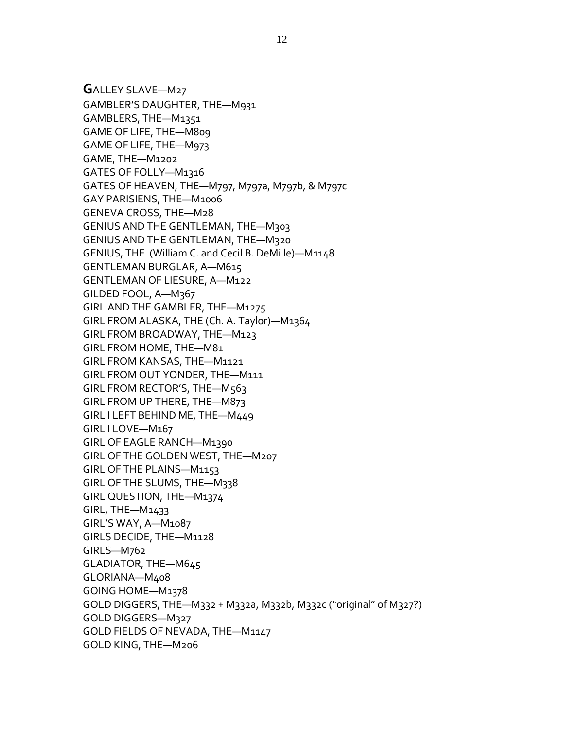**G**ALLEY SLAVE—M27 GAMBLER'S DAUGHTER, THE—M931 GAMBLERS, THE—M1351 GAME OF LIFE, THE—M809 GAME OF LIFE, THE—M973 GAME, THE—M1202 GATES OF FOLLY—M1316 GATES OF HEAVEN, THE—M797, M797a, M797b, & M797c GAY PARISIENS, THE—M1006 GENEVA CROSS, THE—M28 GENIUS AND THE GENTLEMAN, THE—M303 GENIUS AND THE GENTLEMAN, THE—M320 GENIUS, THE (William C. and Cecil B. DeMille)—M1148 GENTLEMAN BURGLAR, A—M615 GENTLEMAN OF LIESURE, A—M122 GILDED FOOL, A—M367 GIRL AND THE GAMBLER, THE—M1275 GIRL FROM ALASKA, THE (Ch. A. Taylor)—M1364 GIRL FROM BROADWAY, THE—M123 GIRL FROM HOME, THE—M81 GIRL FROM KANSAS, THE—M1121 GIRL FROM OUT YONDER, THE—M111 GIRL FROM RECTOR'S, THE—M563 GIRL FROM UP THERE, THE—M873 GIRL I LEFT BEHIND ME, THE—M449 GIRL I LOVE—M167 GIRL OF EAGLE RANCH—M1390 GIRL OF THE GOLDEN WEST, THE—M207 GIRL OF THE PLAINS—M1153 GIRL OF THE SLUMS, THE—M338 GIRL QUESTION, THE—M1374 GIRL, THE—M1433 GIRL'S WAY, A—M1087 GIRLS DECIDE, THE—M1128 GIRLS—M762 GLADIATOR, THE—M645 GLORIANA—M408 GOING HOME—M1378 GOLD DIGGERS, THE—M332 + M332a, M332b, M332c ("original" of M327?) GOLD DIGGERS—M327 GOLD FIELDS OF NEVADA, THE—M1147 GOLD KING, THE—M206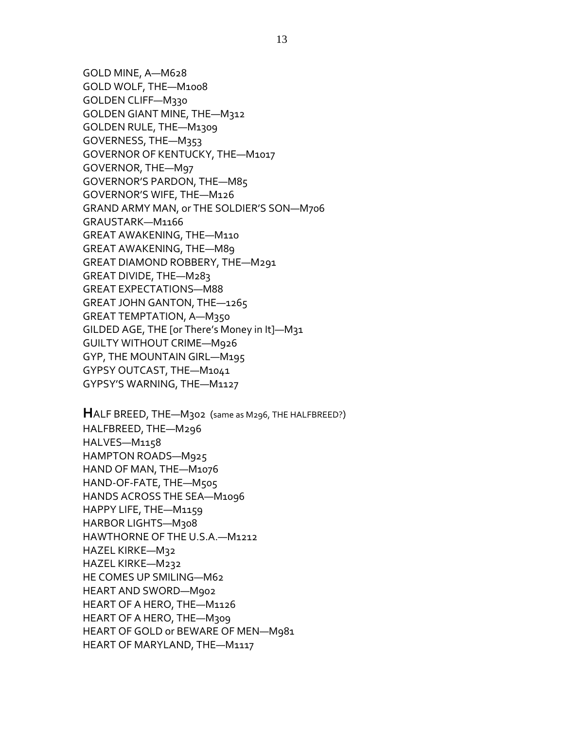GOLD MINE, A—M628 GOLD WOLF, THE—M1008 GOLDEN CLIFF—M330 GOLDEN GIANT MINE, THE—M312 GOLDEN RULE, THE—M1309 GOVERNESS, THE—M353 GOVERNOR OF KENTUCKY, THE—M1017 GOVERNOR, THE—M97 GOVERNOR'S PARDON, THE—M85 GOVERNOR'S WIFE, THE—M126 GRAND ARMY MAN, or THE SOLDIER'S SON—M706 GRAUSTARK—M1166 GREAT AWAKENING, THE—M110 GREAT AWAKENING, THE—M89 GREAT DIAMOND ROBBERY, THE—M291 GREAT DIVIDE, THE—M283 GREAT EXPECTATIONS—M88 GREAT JOHN GANTON, THE—1265 GREAT TEMPTATION, A—M350 GILDED AGE, THE [or There's Money in It]—M31 GUILTY WITHOUT CRIME—M926 GYP, THE MOUNTAIN GIRL—M195 GYPSY OUTCAST, THE—M1041 GYPSY'S WARNING, THE—M1127

**H**ALF BREED, THE—M302 (same as M296, THE HALFBREED?) HALFBREED, THE—M296 HALVES—M1158 HAMPTON ROADS—M925 HAND OF MAN, THE—M1076 HAND-OF-FATE, THE—M505 HANDS ACROSS THE SEA—M1096 HAPPY LIFE, THE—M1159 HARBOR LIGHTS—M308 HAWTHORNE OF THE U.S.A.—M1212 HAZEL KIRKE—M32 HAZEL KIRKE—M232 HE COMES UP SMILING—M62 HEART AND SWORD—M902 HEART OF A HERO, THE—M1126 HEART OF A HERO, THE—M309 HEART OF GOLD or BEWARE OF MEN—M981 HEART OF MARYLAND, THE—M1117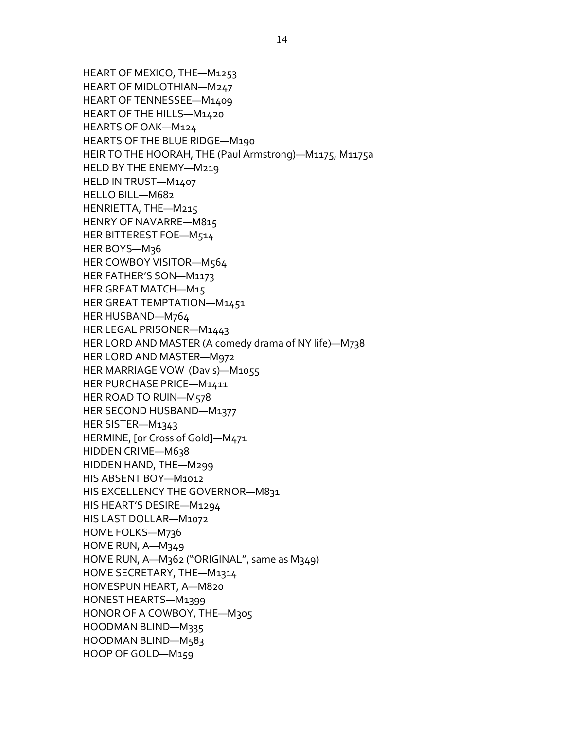HEART OF MEXICO, THE—M1253 HEART OF MIDLOTHIAN—M247 HEART OF TENNESSEE—M1409 HEART OF THE HILLS—M1420 HEARTS OF OAK—M124 HEARTS OF THE BLUE RIDGE—M190 HEIR TO THE HOORAH, THE (Paul Armstrong)—M1175, M1175a HELD BY THE ENEMY—M219 HELD IN TRUST—M1407 HELLO BILL—M682 HENRIETTA, THE—M215 HENRY OF NAVARRE—M815 HER BITTEREST FOE—M514 HER BOYS—M36 HER COWBOY VISITOR—M564 HER FATHER'S SON—M1173 HER GREAT MATCH—M15 HER GREAT TEMPTATION—M1451 HER HUSBAND—M764 HER LEGAL PRISONER—M1443 HER LORD AND MASTER (A comedy drama of NY life)—M738 HER LORD AND MASTER—M972 HER MARRIAGE VOW (Davis)—M1055 HER PURCHASE PRICE—M1411 HER ROAD TO RUIN—M578 HER SECOND HUSBAND—M1377 HER SISTER—M1343 HERMINE, [or Cross of Gold]—M471 HIDDEN CRIME—M638 HIDDEN HAND, THE—M299 HIS ABSENT BOY—M1012 HIS EXCELLENCY THE GOVERNOR—M831 HIS HEART'S DESIRE—M1294 HIS LAST DOLLAR—M1072 HOME FOLKS—M736 HOME RUN, A—M349 HOME RUN, A—M362 ("ORIGINAL", same as M349) HOME SECRETARY, THE—M1314 HOMESPUN HEART, A—M820 HONEST HEARTS—M1399 HONOR OF A COWBOY, THE—M305 HOODMAN BLIND—M335 HOODMAN BLIND—M583 HOOP OF GOLD—M159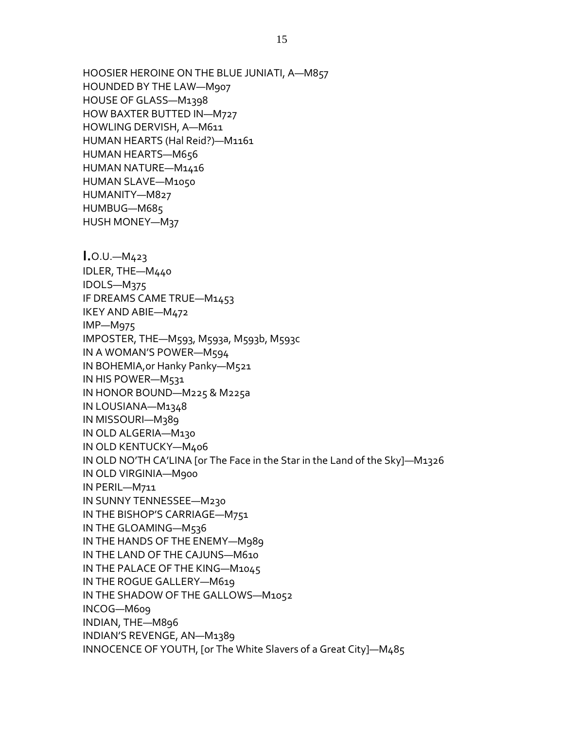HOOSIER HEROINE ON THE BLUE JUNIATI, A—M857 HOUNDED BY THE LAW—M907 HOUSE OF GLASS—M1398 HOW BAXTER BUTTED IN—M727 HOWLING DERVISH, A—M611 HUMAN HEARTS (Hal Reid?)—M1161 HUMAN HEARTS—M656 HUMAN NATURE—M1416 HUMAN SLAVE—M1050 HUMANITY—M827 HUMBUG—M685 HUSH MONEY—M37 **I.**O.U.—M423 IDLER, THE—M440 IDOLS—M375 IF DREAMS CAME TRUE—M1453 IKEY AND ABIE—M472 IMP—M975 IMPOSTER, THE—M593, M593a, M593b, M593c IN A WOMAN'S POWER—M594 IN BOHEMIA,or Hanky Panky—M521 IN HIS POWER—M531 IN HONOR BOUND—M225 & M225a IN LOUSIANA—M1348 IN MISSOURI—M389 IN OLD ALGERIA—M130 IN OLD KENTUCKY—M406 IN OLD NO'TH CA'LINA [or The Face in the Star in the Land of the Sky]—M1326 IN OLD VIRGINIA—M900 IN PERIL—M711 IN SUNNY TENNESSEE—M230 IN THE BISHOP'S CARRIAGE—M751 IN THE GLOAMING—M536 IN THE HANDS OF THE ENEMY—M989 IN THE LAND OF THE CAJUNS—M610 IN THE PALACE OF THE KING—M1045 IN THE ROGUE GALLERY—M619 IN THE SHADOW OF THE GALLOWS—M1052 INCOG—M609 INDIAN, THE—M896 INDIAN'S REVENGE, AN—M1389 INNOCENCE OF YOUTH, [or The White Slavers of a Great City]—M485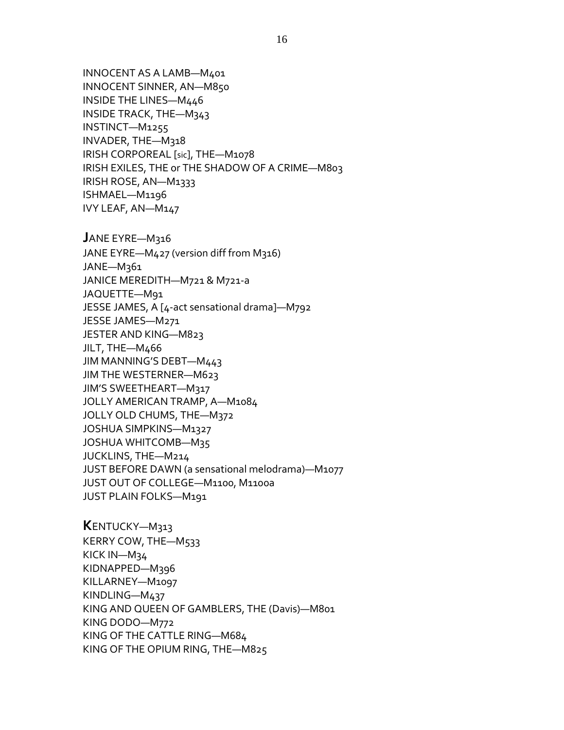INNOCENT AS A LAMB—M401 INNOCENT SINNER, AN—M850 INSIDE THE LINES—M446 INSIDE TRACK, THE—M343 INSTINCT—M1255 INVADER, THE—M318 IRISH CORPOREAL [sic], THE—M1078 IRISH EXILES, THE or THE SHADOW OF A CRIME—M803 IRISH ROSE, AN—M1333 ISHMAEL—M1196 IVY LEAF, AN—M147

**J**ANE EYRE—M316 JANE EYRE—M427 (version diff from M316) JANE—M361 JANICE MEREDITH—M721 & M721-a JAQUETTE—M91 JESSE JAMES, A [4-act sensational drama]—M792 JESSE JAMES—M271 JESTER AND KING—M823 JILT, THE—M466 JIM MANNING'S DEBT—M443 JIM THE WESTERNER—M623 JIM'S SWEETHEART—M317 JOLLY AMERICAN TRAMP, A—M1084 JOLLY OLD CHUMS, THE—M372 JOSHUA SIMPKINS—M1327 JOSHUA WHITCOMB—M35 JUCKLINS, THE—M214 JUST BEFORE DAWN (a sensational melodrama)—M1077 JUST OUT OF COLLEGE—M1100, M1100a JUST PLAIN FOLKS—M191

**K**ENTUCKY—M313 KERRY COW, THE—M533 KICK IN—M34 KIDNAPPED—M396 KILLARNEY—M1097 KINDLING—M437 KING AND QUEEN OF GAMBLERS, THE (Davis)—M801 KING DODO—M772 KING OF THE CATTLE RING—M684 KING OF THE OPIUM RING, THE—M825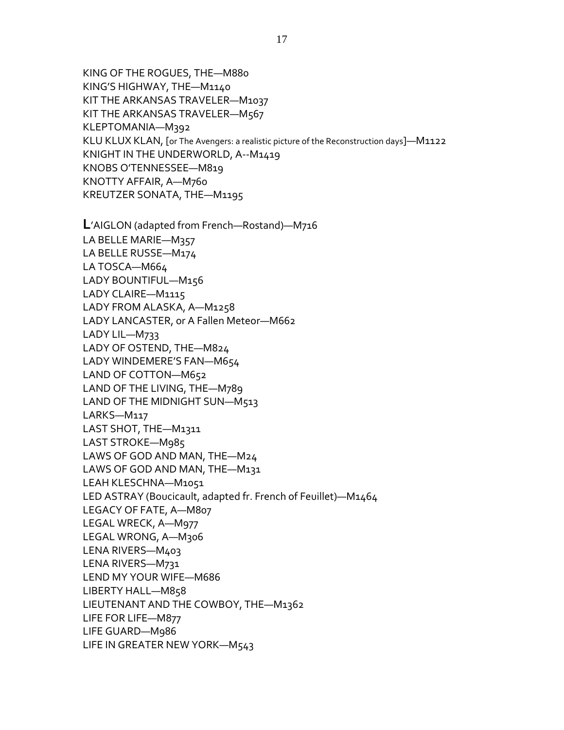KING OF THE ROGUES, THE—M880 KING'S HIGHWAY, THE—M1140 KIT THE ARKANSAS TRAVELER—M1037 KIT THE ARKANSAS TRAVELER—M567 KLEPTOMANIA—M392 KLU KLUX KLAN, [or The Avengers: a realistic picture of the Reconstruction days]—M1122 KNIGHT IN THE UNDERWORLD, A--M1419 KNOBS O'TENNESSEE—M819 KNOTTY AFFAIR, A—M760 KREUTZER SONATA, THE—M1195

**L**'AIGLON (adapted from French—Rostand)—M716 LA BELLE MARIE—M357 LA BELLE RUSSE—M174 LA TOSCA—M664 LADY BOUNTIFUL—M156 LADY CLAIRE—M1115 LADY FROM ALASKA, A—M1258 LADY LANCASTER, or A Fallen Meteor—M662 LADY LIL—M733 LADY OF OSTEND, THE—M824 LADY WINDEMERE'S FAN—M654 LAND OF COTTON—M652 LAND OF THE LIVING, THE—M789 LAND OF THE MIDNIGHT SUN—M513 LARKS—M117 LAST SHOT, THE—M1311 LAST STROKE—M985 LAWS OF GOD AND MAN, THE—M24 LAWS OF GOD AND MAN, THE—M131 LEAH KLESCHNA—M1051 LED ASTRAY (Boucicault, adapted fr. French of Feuillet)—M1464 LEGACY OF FATE, A—M807 LEGAL WRECK, A—M977 LEGAL WRONG, A—M306 LENA RIVERS—M403 LENA RIVERS—M731 LEND MY YOUR WIFE—M686 LIBERTY HALL—M858 LIEUTENANT AND THE COWBOY, THE—M1362 LIFE FOR LIFE—M877 LIFE GUARD—M986 LIFE IN GREATER NEW YORK—M543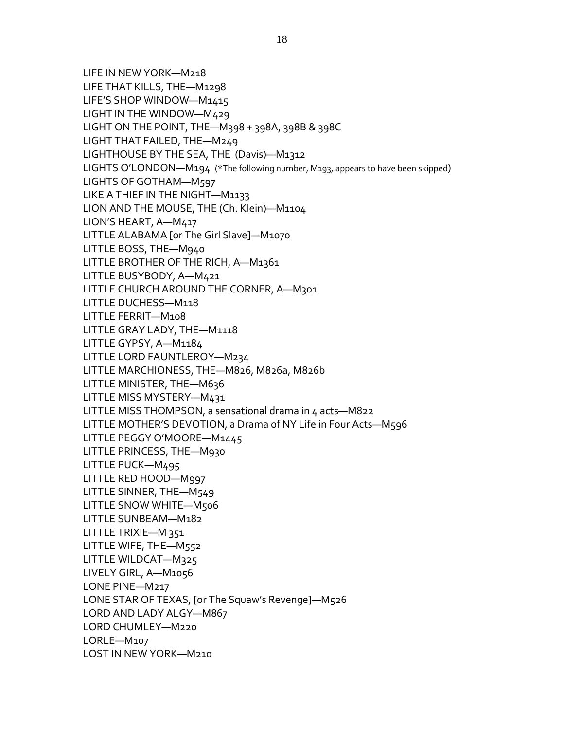LIFE IN NEW YORK—M218 LIFE THAT KILLS, THE—M1298 LIFE'S SHOP WINDOW—M1415 LIGHT IN THE WINDOW—M429 LIGHT ON THE POINT, THE—M398 + 398A, 398B & 398C LIGHT THAT FAILED, THE—M249 LIGHTHOUSE BY THE SEA, THE (Davis)—M1312 LIGHTS O'LONDON—M194 (\*The following number, M193, appears to have been skipped) LIGHTS OF GOTHAM—M597 LIKE A THIEF IN THE NIGHT—M1133 LION AND THE MOUSE, THE (Ch. Klein)—M1104 LION'S HEART, A—M417 LITTLE ALABAMA [or The Girl Slave]—M1070 LITTLE BOSS, THE—M940 LITTLE BROTHER OF THE RICH, A—M1361 LITTLE BUSYBODY, A—M421 LITTLE CHURCH AROUND THE CORNER, A—M301 LITTLE DUCHESS—M118 LITTLE FERRIT—M108 LITTLE GRAY LADY, THE—M1118 LITTLE GYPSY, A—M1184 LITTLE LORD FAUNTLEROY—M234 LITTLE MARCHIONESS, THE—M826, M826a, M826b LITTLE MINISTER, THE-M636 LITTLE MISS MYSTERY—M431 LITTLE MISS THOMPSON, a sensational drama in 4 acts—M822 LITTLE MOTHER'S DEVOTION, a Drama of NY Life in Four Acts—M596 LITTLE PEGGY O'MOORE—M1445 LITTLE PRINCESS, THE—M930 LITTLE PUCK—M495 LITTLE RED HOOD—M997 LITTLE SINNER, THE—M549 LITTLE SNOW WHITE—M506 LITTLE SUNBEAM—M182 LITTLE TRIXIE—M 351 LITTLE WIFE, THE—M552 LITTLE WILDCAT—M325 LIVELY GIRL, A—M1056 LONE PINE—M217 LONE STAR OF TEXAS, [or The Squaw's Revenge]—M526 LORD AND LADY ALGY—M867 LORD CHUMLEY—M220 LORLE—M107 LOST IN NEW YORK—M210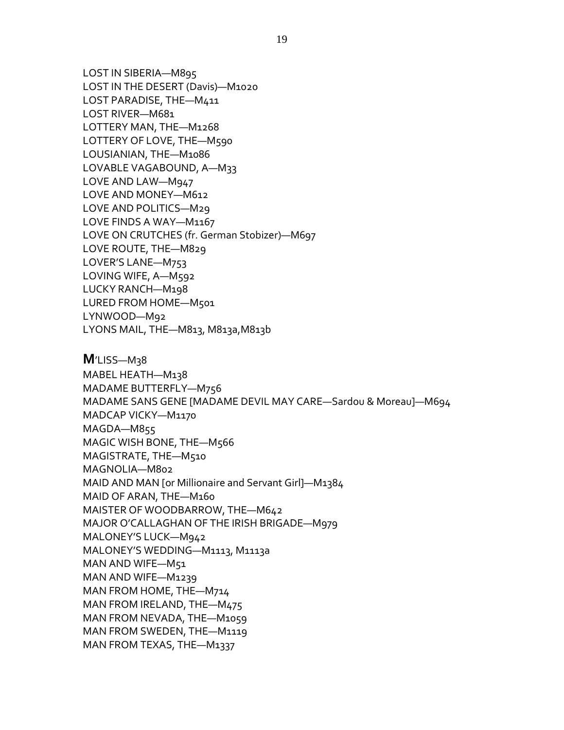LOST IN SIBERIA—M895 LOST IN THE DESERT (Davis)—M1020 LOST PARADISE, THE—M411 LOST RIVER—M681 LOTTERY MAN, THE—M1268 LOTTERY OF LOVE, THE—M590 LOUSIANIAN, THE—M1086 LOVABLE VAGABOUND, A—M33 LOVE AND LAW—M947 LOVE AND MONEY—M612 LOVE AND POLITICS—M29 LOVE FINDS A WAY—M1167 LOVE ON CRUTCHES (fr. German Stobizer)—M697 LOVE ROUTE, THE—M829 LOVER'S LANE—M753 LOVING WIFE, A—M592 LUCKY RANCH—M198 LURED FROM HOME—M501 LYNWOOD—M92 LYONS MAIL, THE—M813, M813a,M813b

**M**'LISS—M38 MABEL HEATH—M138 MADAME BUTTERFLY—M756 MADAME SANS GENE [MADAME DEVIL MAY CARE—Sardou & Moreau]—M694 MADCAP VICKY—M1170 MAGDA—M855 MAGIC WISH BONE, THE—M566 MAGISTRATE, THE—M510 MAGNOLIA—M802 MAID AND MAN [or Millionaire and Servant Girl]—M1384 MAID OF ARAN, THE—M160 MAISTER OF WOODBARROW, THE—M642 MAJOR O'CALLAGHAN OF THE IRISH BRIGADE—M979 MALONEY'S LUCK—M942 MALONEY'S WEDDING—M1113, M1113a MAN AND WIFE—M51 MAN AND WIFE—M1239 MAN FROM HOME, THE—M714 MAN FROM IRELAND, THE—M475 MAN FROM NEVADA, THE—M1059 MAN FROM SWEDEN, THE—M1119 MAN FROM TEXAS, THE—M1337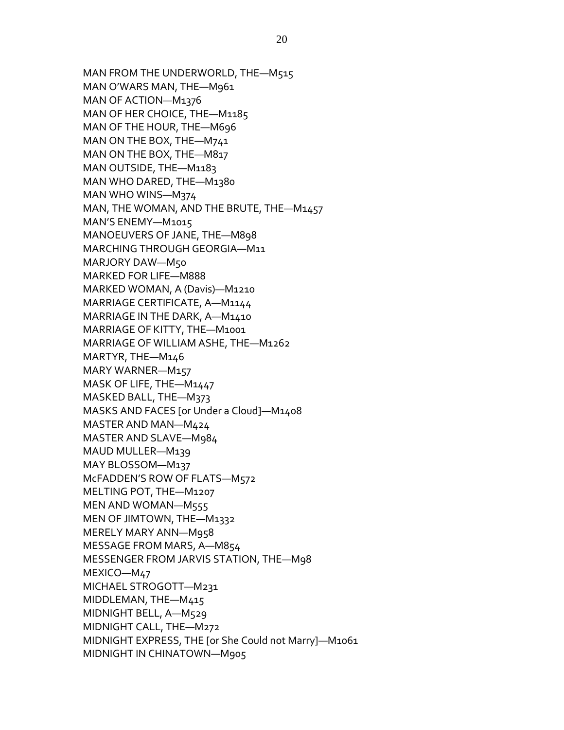MAN FROM THE UNDERWORLD, THE—M515 MAN O'WARS MAN, THE—M961 MAN OF ACTION—M1376 MAN OF HER CHOICE, THE—M1185 MAN OF THE HOUR, THE—M696 MAN ON THE BOX, THE—M741 MAN ON THE BOX, THE—M817 MAN OUTSIDE, THE—M1183 MAN WHO DARED, THE—M1380 MAN WHO WINS—M374 MAN, THE WOMAN, AND THE BRUTE, THE—M1457 MAN'S ENEMY—M1015 MANOEUVERS OF JANE, THE—M898 MARCHING THROUGH GEORGIA—M11 MARJORY DAW—M50 MARKED FOR LIFE—M888 MARKED WOMAN, A (Davis)—M1210 MARRIAGE CERTIFICATE, A—M1144 MARRIAGE IN THE DARK, A—M1410 MARRIAGE OF KITTY, THE—M1001 MARRIAGE OF WILLIAM ASHE, THE—M1262 MARTYR, THE—M146 MARY WARNER—M157 MASK OF LIFE, THE—M1447 MASKED BALL, THE—M373 MASKS AND FACES [or Under a Cloud]—M1408 MASTER AND MAN—M424 MASTER AND SLAVE—M984 MAUD MULLER—M139 MAY BLOSSOM—M137 McFADDEN'S ROW OF FLATS—M572 MELTING POT, THE—M1207 MEN AND WOMAN—M555 MEN OF JIMTOWN, THE—M1332 MERELY MARY ANN—M958 MESSAGE FROM MARS, A—M854 MESSENGER FROM JARVIS STATION, THE—M98 MEXICO—M47 MICHAEL STROGOTT—M231 MIDDLEMAN, THE—M415 MIDNIGHT BELL, A—M529 MIDNIGHT CALL, THE—M272 MIDNIGHT EXPRESS, THE [or She Could not Marry]—M1061 MIDNIGHT IN CHINATOWN—M905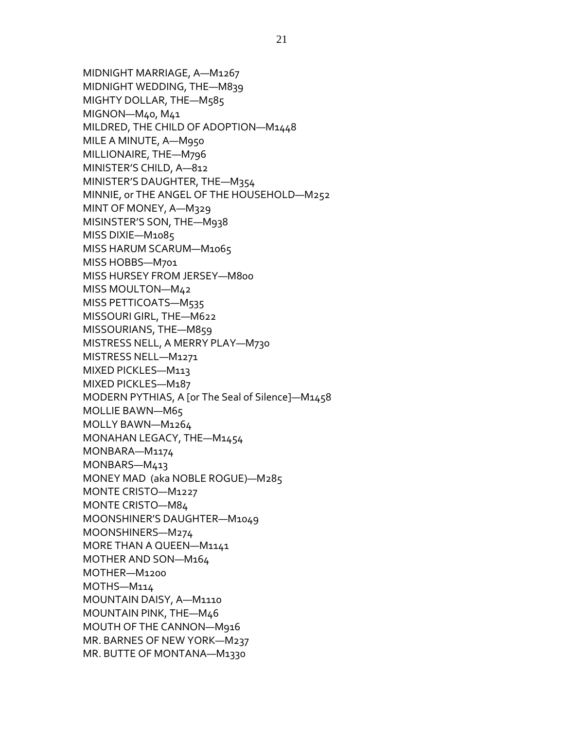MIDNIGHT MARRIAGE, A—M1267 MIDNIGHT WEDDING, THE—M839 MIGHTY DOLLAR, THE—M585 MIGNON—M40, M41 MILDRED, THE CHILD OF ADOPTION—M1448 MILE A MINUTE, A—M950 MILLIONAIRE, THE—M796 MINISTER'S CHILD, A—812 MINISTER'S DAUGHTER, THE—M354 MINNIE, or THE ANGEL OF THE HOUSEHOLD—M252 MINT OF MONEY, A—M329 MISINSTER'S SON, THE—M938 MISS DIXIE—M1085 MISS HARUM SCARUM—M1065 MISS HOBBS—M701 MISS HURSEY FROM JERSEY—M800 MISS MOULTON—M42 MISS PETTICOATS—M535 MISSOURI GIRL, THE—M622 MISSOURIANS, THE—M859 MISTRESS NELL, A MERRY PLAY—M730 MISTRESS NELL—M1271 MIXED PICKLES—M113 MIXED PICKLES—M187 MODERN PYTHIAS, A [or The Seal of Silence]—M1458 MOLLIE BAWN—M65 MOLLY BAWN—M1264 MONAHAN LEGACY, THE—M1454 MONBARA—M1174 MONBARS—M413 MONEY MAD (aka NOBLE ROGUE)—M285 MONTE CRISTO—M1227 MONTE CRISTO—M84 MOONSHINER'S DAUGHTER—M1049 MOONSHINERS—M274 MORE THAN A QUEEN—M1141 MOTHER AND SON—M164 MOTHER—M1200 MOTHS—M114 MOUNTAIN DAISY, A—M1110 MOUNTAIN PINK, THE—M46 MOUTH OF THE CANNON—M916 MR. BARNES OF NEW YORK—M237 MR. BUTTE OF MONTANA—M1330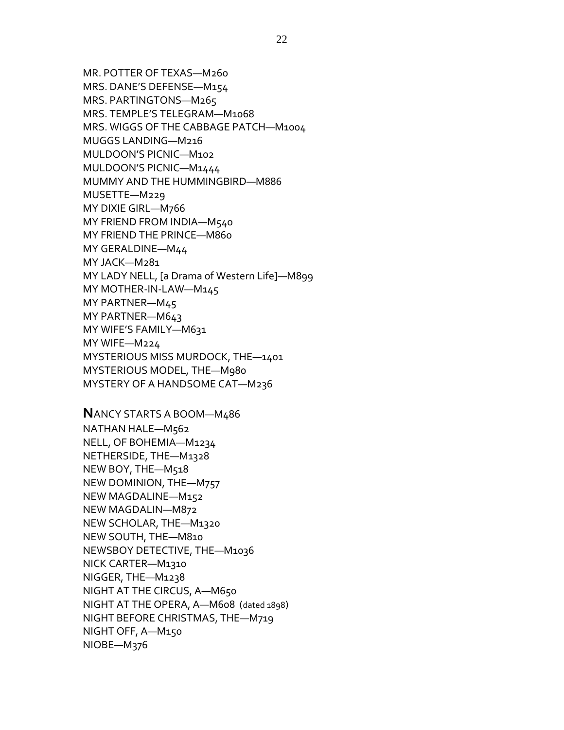MR. POTTER OF TEXAS—M260 MRS. DANE'S DEFENSE—M154 MRS. PARTINGTONS—M265 MRS. TEMPLE'S TELEGRAM—M1068 MRS. WIGGS OF THE CABBAGE PATCH—M1004 MUGGS LANDING—M216 MULDOON'S PICNIC—M102 MULDOON'S PICNIC—M1444 MUMMY AND THE HUMMINGBIRD—M886 MUSETTE—M229 MY DIXIE GIRL—M766 MY FRIEND FROM INDIA—M540 MY FRIEND THE PRINCE—M860 MY GERALDINE—M44 MY JACK—M281 MY LADY NELL, [a Drama of Western Life]—M899 MY MOTHER-IN-LAW—M145 MY PARTNER—M45 MY PARTNER—M643 MY WIFE'S FAMILY—M631 MY WIFE—M224 MYSTERIOUS MISS MURDOCK, THE—1401 MYSTERIOUS MODEL, THE—M980 MYSTERY OF A HANDSOME CAT—M236

**N**ANCY STARTS A BOOM—M486 NATHAN HALE—M562 NELL, OF BOHEMIA—M1234 NETHERSIDE, THE—M1328 NEW BOY, THE—M518 NEW DOMINION, THE—M757 NEW MAGDALINE—M152 NEW MAGDALIN—M872 NEW SCHOLAR, THE—M1320 NEW SOUTH, THE—M810 NEWSBOY DETECTIVE, THE—M1036 NICK CARTER—M1310 NIGGER, THE—M1238 NIGHT AT THE CIRCUS, A—M650 NIGHT AT THE OPERA, A—M608 (dated 1898) NIGHT BEFORE CHRISTMAS, THE—M719 NIGHT OFF, A—M150 NIOBE—M376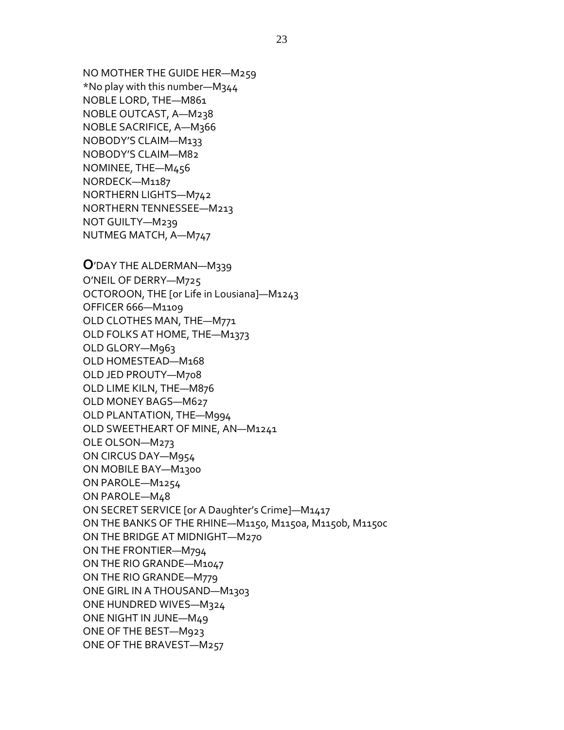NO MOTHER THE GUIDE HER—M259 \*No play with this number—M344 NOBLE LORD, THE—M861 NOBLE OUTCAST, A—M238 NOBLE SACRIFICE, A—M366 NOBODY'S CLAIM—M133 NOBODY'S CLAIM—M82 NOMINEE, THE—M456 NORDECK—M1187 NORTHERN LIGHTS—M742 NORTHERN TENNESSEE—M213 NOT GUILTY—M239 NUTMEG MATCH, A—M747

**O**'DAY THE ALDERMAN—M339 O'NEIL OF DERRY—M725 OCTOROON, THE [or Life in Lousiana]—M1243 OFFICER 666—M1109 OLD CLOTHES MAN, THE—M771 OLD FOLKS AT HOME, THE—M1373 OLD GLORY—M963 OLD HOMESTEAD—M168 OLD JED PROUTY—M708 OLD LIME KILN, THE—M876 OLD MONEY BAGS—M627 OLD PLANTATION, THE—M994 OLD SWEETHEART OF MINE, AN—M1241 OLE OLSON—M273 ON CIRCUS DAY—M954 ON MOBILE BAY—M1300 ON PAROLE—M1254 ON PAROLE—M48 ON SECRET SERVICE [or A Daughter's Crime]—M1417 ON THE BANKS OF THE RHINE—M1150, M1150a, M1150b, M1150c ON THE BRIDGE AT MIDNIGHT—M270 ON THE FRONTIER—M794 ON THE RIO GRANDE—M1047 ON THE RIO GRANDE—M779 ONE GIRL IN A THOUSAND—M1303 ONE HUNDRED WIVES—M324 ONE NIGHT IN JUNE—M49 ONE OF THE BEST—M923 ONE OF THE BRAVEST—M257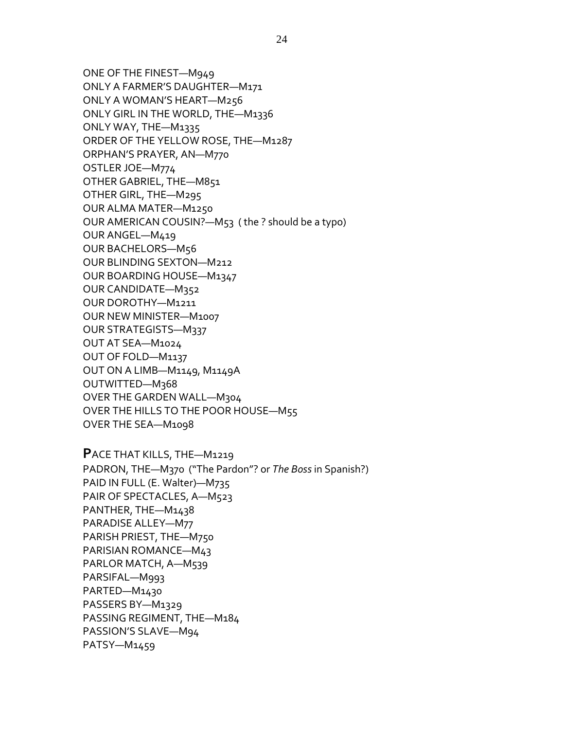ONE OF THE FINEST—M949

ONLY A FARMER'S DAUGHTER—M171 ONLY A WOMAN'S HEART—M256 ONLY GIRL IN THE WORLD, THE—M1336 ONLY WAY, THE—M1335 ORDER OF THE YELLOW ROSE, THE—M1287 ORPHAN'S PRAYER, AN—M770 OSTLER JOE—M774 OTHER GABRIEL, THE—M851 OTHER GIRL, THE—M295 OUR ALMA MATER—M1250 OUR AMERICAN COUSIN?—M53 ( the ? should be a typo) OUR ANGEL—M419 OUR BACHELORS—M56 OUR BLINDING SEXTON—M212 OUR BOARDING HOUSE—M1347 OUR CANDIDATE—M352 OUR DOROTHY—M1211 OUR NEW MINISTER—M1007 OUR STRATEGISTS—M337 OUT AT SEA—M1024 OUT OF FOLD—M1137 OUT ON A LIMB—M1149, M1149A OUTWITTED—M368 OVER THE GARDEN WALL—M304 OVER THE HILLS TO THE POOR HOUSE—M55 OVER THE SEA—M1098

**P**ACE THAT KILLS, THE—M1219 PADRON, THE—M370 ("The Pardon"? or *The Boss* in Spanish?) PAID IN FULL (E. Walter)—M735 PAIR OF SPECTACLES, A—M523 PANTHER, THE—M1438 PARADISE ALLEY—M77 PARISH PRIEST, THE—M750 PARISIAN ROMANCE—M43 PARLOR MATCH, A—M539 PARSIFAL—M993 PARTED—M1430 PASSERS BY—M1329 PASSING REGIMENT, THE—M184 PASSION'S SLAVE—M94 PATSY—M1459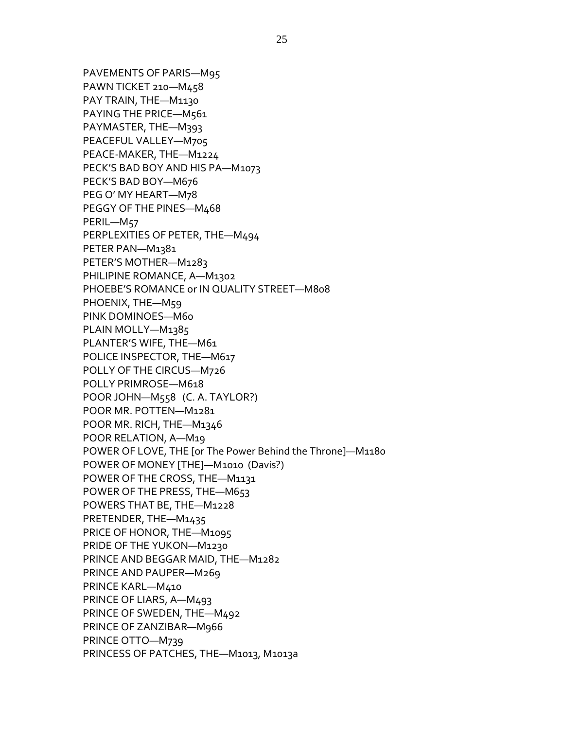PAVEMENTS OF PARIS—M95 PAWN TICKET 210—M458 PAY TRAIN, THE—M1130 PAYING THE PRICE-M561 PAYMASTER, THE—M393 PEACEFUL VALLEY—M705 PEACE-MAKER, THE—M1224 PECK'S BAD BOY AND HIS PA—M1073 PECK'S BAD BOY—M676 PEG O' MY HEART—M78 PEGGY OF THE PINES—M468 PERIL—M57 PERPLEXITIES OF PETER, THE—M494 PETER PAN—M1381 PETER'S MOTHER—M1283 PHILIPINE ROMANCE, A—M1302 PHOEBE'S ROMANCE or IN QUALITY STREET—M808 PHOENIX, THE—M59 PINK DOMINOES—M60 PLAIN MOLLY—M1385 PLANTER'S WIFE, THE—M61 POLICE INSPECTOR, THE—M617 POLLY OF THE CIRCUS—M726 POLLY PRIMROSE—M618 POOR JOHN—M558 (C. A. TAYLOR?) POOR MR. POTTEN—M1281 POOR MR. RICH, THE—M1346 POOR RELATION, A—M19 POWER OF LOVE, THE [or The Power Behind the Throne]—M1180 POWER OF MONEY [THE]—M1010 (Davis?) POWER OF THE CROSS, THE—M1131 POWER OF THE PRESS, THE—M653 POWERS THAT BE, THE—M1228 PRETENDER, THE—M1435 PRICE OF HONOR, THE—M1095 PRIDE OF THE YUKON—M1230 PRINCE AND BEGGAR MAID, THE—M1282 PRINCE AND PAUPER—M269 PRINCE KARL—M410 PRINCE OF LIARS, A—M493 PRINCE OF SWEDEN, THE—M492 PRINCE OF ZANZIBAR—M966 PRINCE OTTO—M739 PRINCESS OF PATCHES, THE-M1013, M1013a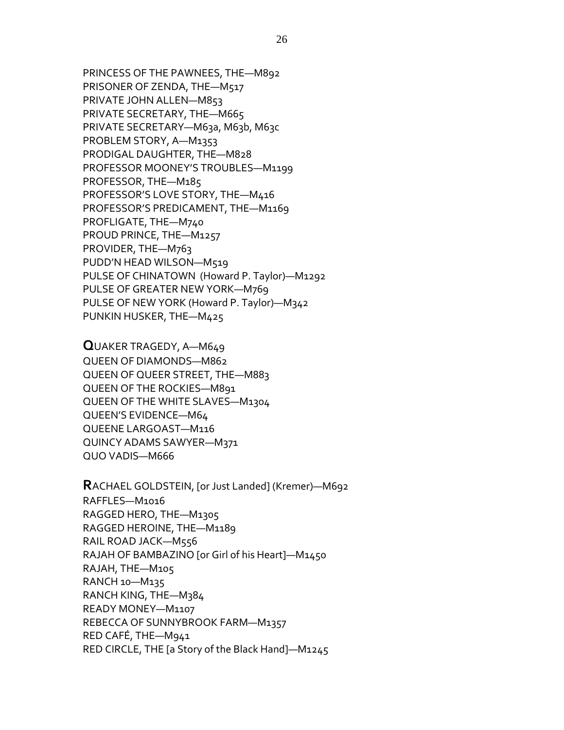PRINCESS OF THE PAWNEES, THE—M892 PRISONER OF ZENDA, THE—M517 PRIVATE JOHN ALLEN—M853 PRIVATE SECRETARY, THE-M665 PRIVATE SECRETARY-M63a, M63b, M63c PROBLEM STORY, A—M1353 PRODIGAL DAUGHTER, THE—M828 PROFESSOR MOONEY'S TROUBLES—M1199 PROFESSOR, THE—M185 PROFESSOR'S LOVE STORY, THE—M416 PROFESSOR'S PREDICAMENT, THE—M1169 PROFLIGATE, THE—M740 PROUD PRINCE, THE—M1257 PROVIDER, THE-M763 PUDD'N HEAD WILSON—M519 PULSE OF CHINATOWN (Howard P. Taylor)—M1292 PULSE OF GREATER NEW YORK—M769 PULSE OF NEW YORK (Howard P. Taylor)—M342 PUNKIN HUSKER, THE—M425

**Q**UAKER TRAGEDY, A—M649 QUEEN OF DIAMONDS—M862 QUEEN OF QUEER STREET, THE—M883 QUEEN OF THE ROCKIES—M891 QUEEN OF THE WHITE SLAVES—M1304 QUEEN'S EVIDENCE—M64 QUEENE LARGOAST—M116 QUINCY ADAMS SAWYER—M371 QUO VADIS—M666

**R**ACHAEL GOLDSTEIN, [or Just Landed] (Kremer)—M692 RAFFLES—M1016 RAGGED HERO, THE—M1305 RAGGED HEROINE, THE—M1189 RAIL ROAD JACK—M556 RAJAH OF BAMBAZINO [or Girl of his Heart]—M1450 RAJAH, THE—M105 RANCH 10—M135 RANCH KING, THE—M384 READY MONEY—M1107 REBECCA OF SUNNYBROOK FARM—M1357 RED CAFÉ, THE—M941 RED CIRCLE, THE [a Story of the Black Hand]—M1245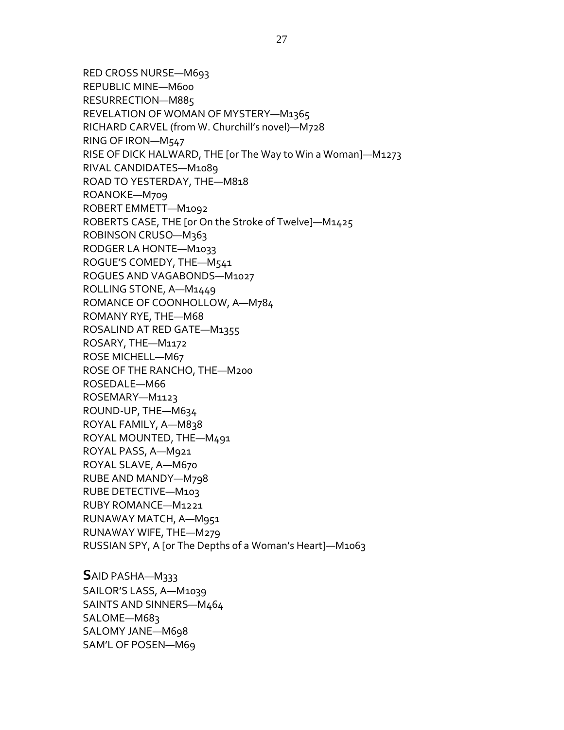RED CROSS NURSE—M693 REPUBLIC MINE—M600 RESURRECTION—M885 REVELATION OF WOMAN OF MYSTERY—M1365 RICHARD CARVEL (from W. Churchill's novel)—M728 RING OF IRON—M547 RISE OF DICK HALWARD, THE [or The Way to Win a Woman]—M1273 RIVAL CANDIDATES—M1089 ROAD TO YESTERDAY, THE—M818 ROANOKE—M709 ROBERT EMMETT—M1092 ROBERTS CASE, THE [or On the Stroke of Twelve]—M1425 ROBINSON CRUSO—M363 RODGER LA HONTE—M1033 ROGUE'S COMEDY, THE—M541 ROGUES AND VAGABONDS—M1027 ROLLING STONE, A—M1449 ROMANCE OF COONHOLLOW, A—M784 ROMANY RYE, THE—M68 ROSALIND AT RED GATE—M1355 ROSARY, THE—M1172 ROSE MICHELL—M67 ROSE OF THE RANCHO, THE—M200 ROSEDALE—M66 ROSEMARY—M1123 ROUND-UP, THE-M634 ROYAL FAMILY, A—M838 ROYAL MOUNTED, THE—M491 ROYAL PASS, A—M921 ROYAL SLAVE, A—M670 RUBE AND MANDY—M798 RUBE DETECTIVE—M103 RUBY ROMANCE—M1221 RUNAWAY MATCH, A—M951 RUNAWAY WIFE, THE—M279 RUSSIAN SPY, A [or The Depths of a Woman's Heart]—M1063

**S**AID PASHA—M333 SAILOR'S LASS, A—M1039 SAINTS AND SINNERS—M464 SALOME—M683 SALOMY JANE—M698 SAM'L OF POSEN—M69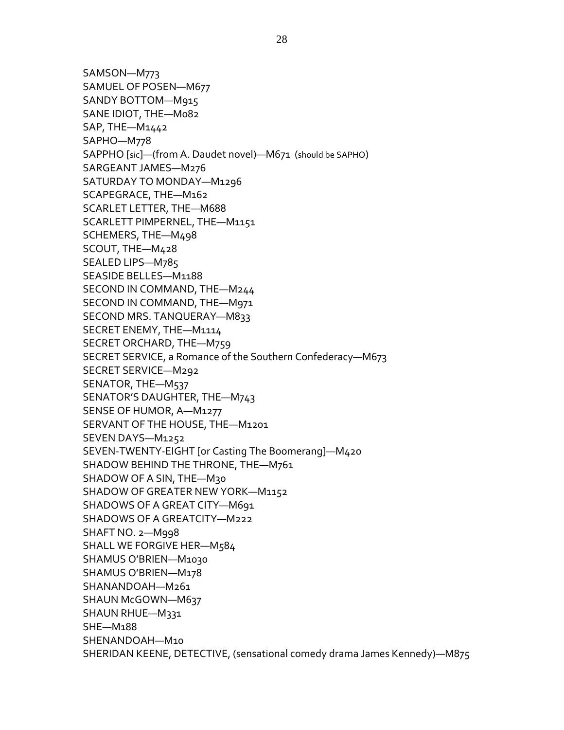SAMSON—M773 SAMUEL OF POSEN—M677 SANDY BOTTOM—M915 SANE IDIOT, THE—M082 SAP, THE—M1442 SAPHO—M778 SAPPHO [sic]—(from A. Daudet novel)—M671 (should be SAPHO) SARGEANT JAMES—M276 SATURDAY TO MONDAY—M1296 SCAPEGRACE, THE—M162 SCARLET LETTER, THE—M688 SCARLETT PIMPERNEL, THE—M1151 SCHEMERS, THE—M498 SCOUT, THE—M428 SEALED LIPS—M785 SEASIDE BELLES—M1188 SECOND IN COMMAND, THE—M244 SECOND IN COMMAND, THE—M971 SECOND MRS. TANQUERAY—M833 SECRET ENEMY, THE—M1114 SECRET ORCHARD, THE—M759 SECRET SERVICE, a Romance of the Southern Confederacy—M673 SECRET SERVICE—M292 SENATOR, THE—M537 SENATOR'S DAUGHTER, THE—M743 SENSE OF HUMOR, A—M1277 SERVANT OF THE HOUSE, THE—M1201 SEVEN DAYS—M1252 SEVEN-TWENTY-EIGHT [or Casting The Boomerang]—M420 SHADOW BEHIND THE THRONE, THE—M761 SHADOW OF A SIN, THE—M30 SHADOW OF GREATER NEW YORK—M1152 SHADOWS OF A GREAT CITY—M691 SHADOWS OF A GREATCITY—M222 SHAFT NO. 2—M998 SHALL WE FORGIVE HER—M584 SHAMUS O'BRIEN—M1030 SHAMUS O'BRIEN—M178 SHANANDOAH—M261 SHAUN McGOWN—M637 SHAUN RHUE—M331 SHE—M188 SHENANDOAH—M10 SHERIDAN KEENE, DETECTIVE, (sensational comedy drama James Kennedy)—M875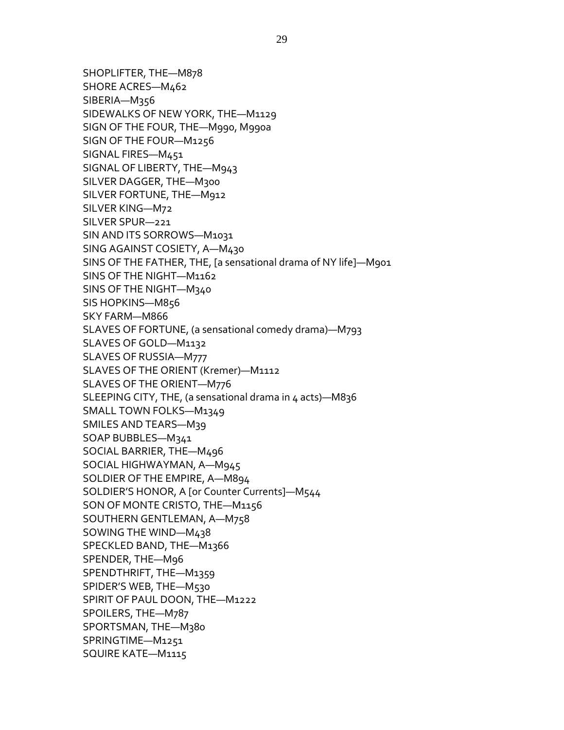SHOPLIFTER, THE—M878 SHORE ACRES—M462 SIBERIA—M356 SIDEWALKS OF NEW YORK, THE—M1129 SIGN OF THE FOUR, THE—M990, M990a SIGN OF THE FOUR—M1256 SIGNAL FIRES—M451 SIGNAL OF LIBERTY, THE—M943 SILVER DAGGER, THE—M300 SILVER FORTUNE, THE—M912 SILVER KING—M72 SILVER SPUR—221 SIN AND ITS SORROWS—M1031 SING AGAINST COSIETY, A—M430 SINS OF THE FATHER, THE, [a sensational drama of NY life]—M901 SINS OF THE NIGHT—M1162 SINS OF THE NIGHT—M340 SIS HOPKINS—M856 SKY FARM—M866 SLAVES OF FORTUNE, (a sensational comedy drama)—M793 SLAVES OF GOLD—M1132 SLAVES OF RUSSIA—M777 SLAVES OF THE ORIENT (Kremer)—M1112 SLAVES OF THE ORIENT—M776 SLEEPING CITY, THE, (a sensational drama in 4 acts)—M836 SMALL TOWN FOLKS—M1349 SMILES AND TEARS—M39 SOAP BUBBLES—M341 SOCIAL BARRIER, THE—M496 SOCIAL HIGHWAYMAN, A—M945 SOLDIER OF THE EMPIRE, A—M894 SOLDIER'S HONOR, A [or Counter Currents]—M544 SON OF MONTE CRISTO, THE—M1156 SOUTHERN GENTLEMAN, A—M758 SOWING THE WIND—M438 SPECKLED BAND, THE—M1366 SPENDER, THE—M96 SPENDTHRIFT, THE—M1359 SPIDER'S WEB, THE—M530 SPIRIT OF PAUL DOON, THE—M1222 SPOILERS, THE—M787 SPORTSMAN, THE—M380 SPRINGTIME—M1251 SQUIRE KATE—M1115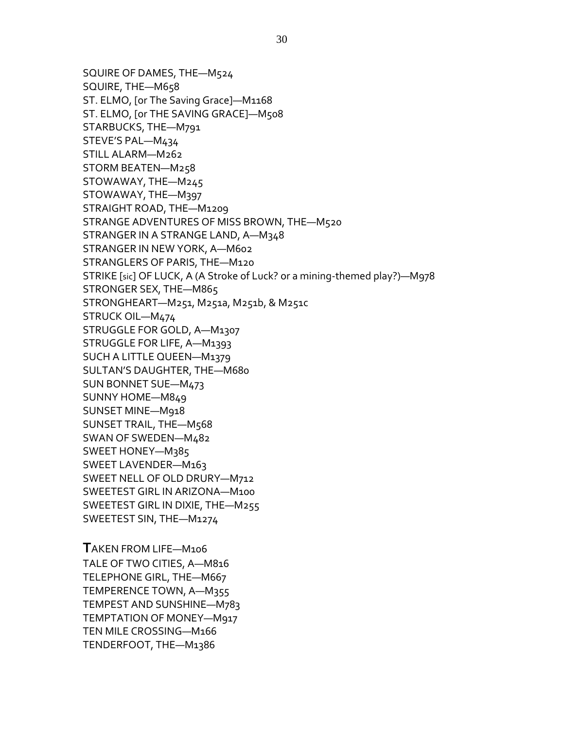SQUIRE OF DAMES, THE—M524 SQUIRE, THE—M658 ST. ELMO, [or The Saving Grace]—M1168 ST. ELMO, [or THE SAVING GRACE]—M508 STARBUCKS, THE—M791 STEVE'S PAL—M434 STILL ALARM—M262 STORM BEATEN—M258 STOWAWAY, THE—M245 STOWAWAY, THE—M397 STRAIGHT ROAD, THE—M1209 STRANGE ADVENTURES OF MISS BROWN, THE—M520 STRANGER IN A STRANGE LAND, A—M348 STRANGER IN NEW YORK, A—M602 STRANGLERS OF PARIS, THE—M120 STRIKE [sic] OF LUCK, A (A Stroke of Luck? or a mining-themed play?)—M978 STRONGER SEX, THE—M865 STRONGHEART—M251, M251a, M251b, & M251c STRUCK OIL—M474 STRUGGLE FOR GOLD, A—M1307 STRUGGLE FOR LIFE, A—M1393 SUCH A LITTLE QUEEN—M1379 SULTAN'S DAUGHTER, THE—M680 SUN BONNET SUE—M473 SUNNY HOME—M849 SUNSET MINE—M918 SUNSET TRAIL, THE—M568 SWAN OF SWEDEN—M482 SWEET HONEY—M385 SWEET LAVENDER—M163 SWEET NELL OF OLD DRURY—M712 SWEETEST GIRL IN ARIZONA—M100 SWEETEST GIRL IN DIXIE, THE—M255 SWEETEST SIN, THE—M1274

**T**AKEN FROM LIFE—M106 TALE OF TWO CITIES, A—M816 TELEPHONE GIRL, THE—M667 TEMPERENCE TOWN, A—M355 TEMPEST AND SUNSHINE—M783 TEMPTATION OF MONEY—M917 TEN MILE CROSSING—M166 TENDERFOOT, THE—M1386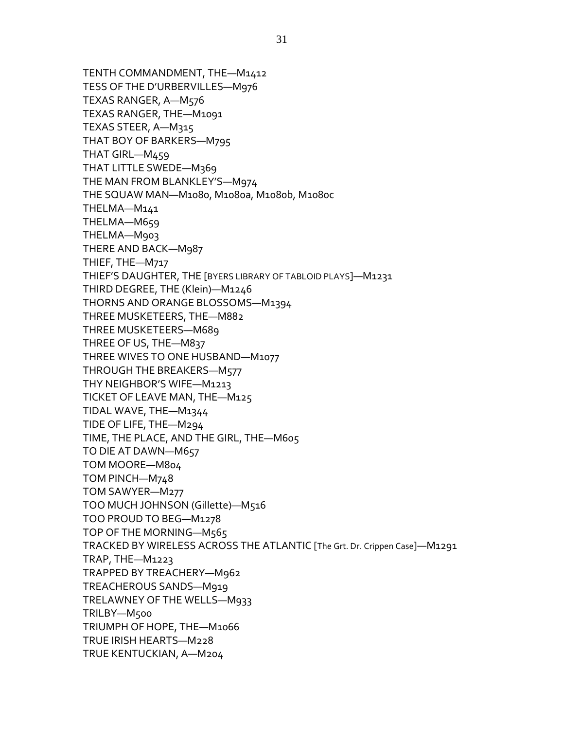TENTH COMMANDMENT, THE—M1412 TESS OF THE D'URBERVILLES—M976 TEXAS RANGER, A—M576 TEXAS RANGER, THE—M1091 TEXAS STEER, A—M315 THAT BOY OF BARKERS—M795 THAT GIRL—M459 THAT LITTLE SWEDE—M369 THE MAN FROM BLANKLEY'S—M974 THE SQUAW MAN—M1080, M1080a, M1080b, M1080c THELMA—M141 THELMA—M659 THELMA—M903 THERE AND BACK—M987 THIEF, THE—M717 THIEF'S DAUGHTER, THE [BYERS LIBRARY OF TABLOID PLAYS]—M1231 THIRD DEGREE, THE (Klein)—M1246 THORNS AND ORANGE BLOSSOMS—M1394 THREE MUSKETEERS, THE—M882 THREE MUSKETEERS—M689 THREE OF US, THE—M837 THREE WIVES TO ONE HUSBAND—M1077 THROUGH THE BREAKERS—M577 THY NEIGHBOR'S WIFE—M1213 TICKET OF LEAVE MAN, THE—M125 TIDAL WAVE, THE—M1344 TIDE OF LIFE, THE—M294 TIME, THE PLACE, AND THE GIRL, THE—M605 TO DIE AT DAWN—M657 TOM MOORE—M804 TOM PINCH—M748 TOM SAWYER—M277 TOO MUCH JOHNSON (Gillette)—M516 TOO PROUD TO BEG—M1278 TOP OF THE MORNING—M565 TRACKED BY WIRELESS ACROSS THE ATLANTIC [The Grt. Dr. Crippen Case]—M1291 TRAP, THE—M1223 TRAPPED BY TREACHERY—M962 TREACHEROUS SANDS—M919 TRELAWNEY OF THE WELLS—M933 TRILBY—M500 TRIUMPH OF HOPE, THE—M1066 TRUE IRISH HEARTS—M228 TRUE KENTUCKIAN, A—M204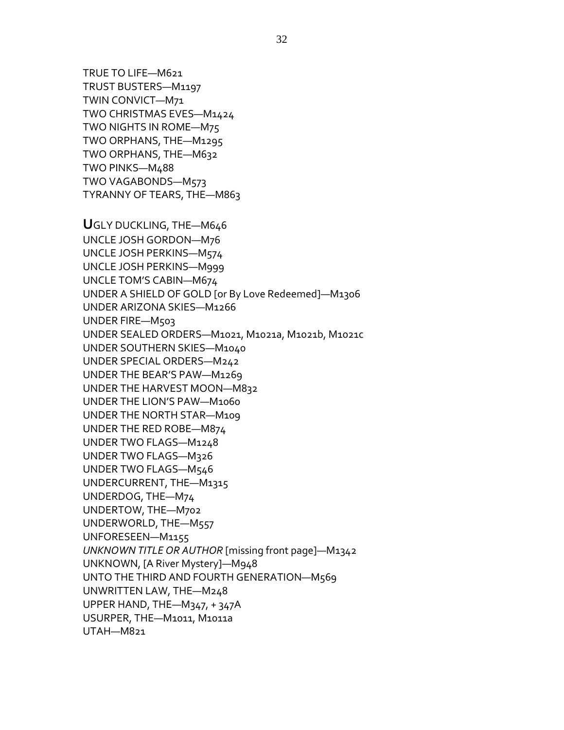TRUE TO LIFE—M621 TRUST BUSTERS—M1197 TWIN CONVICT—M71 TWO CHRISTMAS EVES—M1424 TWO NIGHTS IN ROME—M75 TWO ORPHANS, THE—M1295 TWO ORPHANS, THE—M632 TWO PINKS—M488 TWO VAGABONDS—M573 TYRANNY OF TEARS, THE—M863 **U**GLY DUCKLING, THE—M646 UNCLE JOSH GORDON—M76 UNCLE JOSH PERKINS—M574 UNCLE JOSH PERKINS—M999 UNCLE TOM'S CABIN—M674 UNDER A SHIELD OF GOLD [or By Love Redeemed]—M1306 UNDER ARIZONA SKIES—M1266 UNDER FIRE—M503 UNDER SEALED ORDERS—M1021, M1021a, M1021b, M1021c UNDER SOUTHERN SKIES—M1040 UNDER SPECIAL ORDERS—M242 UNDER THE BEAR'S PAW—M1269 UNDER THE HARVEST MOON—M832 UNDER THE LION'S PAW—M1060 UNDER THE NORTH STAR—M109 UNDER THE RED ROBE—M874 UNDER TWO FLAGS—M1248 UNDER TWO FLAGS—M326 UNDER TWO FLAGS—M546 UNDERCURRENT, THE—M1315 UNDERDOG, THE—M74 UNDERTOW, THE—M702 UNDERWORLD, THE—M557 UNFORESEEN—M1155 *UNKNOWN TITLE OR AUTHOR* [missing front page]—M1342 UNKNOWN, [A River Mystery]—M948 UNTO THE THIRD AND FOURTH GENERATION—M569 UNWRITTEN LAW, THE—M248 UPPER HAND, THE—M347, + 347A USURPER, THE—M1011, M1011a UTAH—M821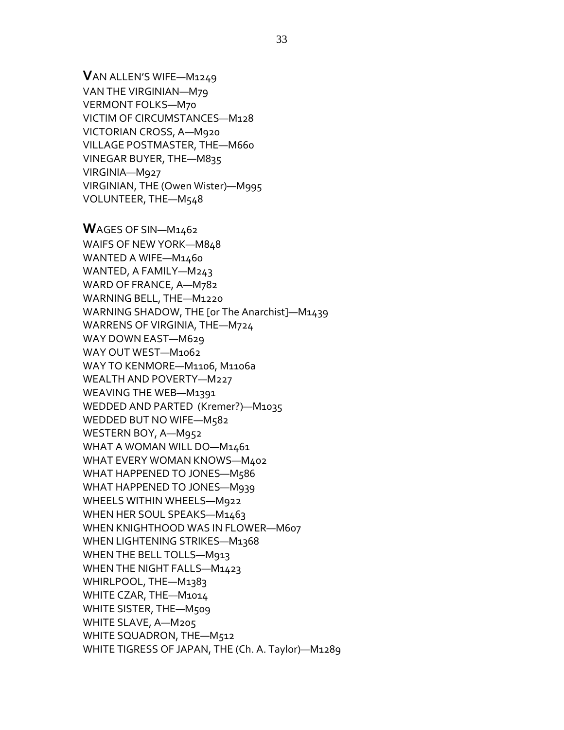**V**AN ALLEN'S WIFE—M1249 VAN THE VIRGINIAN—M79 VERMONT FOLKS—M70 VICTIM OF CIRCUMSTANCES—M128 VICTORIAN CROSS, A—M920 VILLAGE POSTMASTER, THE—M660 VINEGAR BUYER, THE—M835 VIRGINIA—M927 VIRGINIAN, THE (Owen Wister)—M995 VOLUNTEER, THE—M548

**W**AGES OF SIN—M1462 WAIFS OF NEW YORK—M848 WANTED A WIFE—M1460 WANTED, A FAMILY—M243 WARD OF FRANCE, A—M782 WARNING BELL, THE—M1220 WARNING SHADOW, THE [or The Anarchist]—M1439 WARRENS OF VIRGINIA, THE—M724 WAY DOWN EAST—M629 WAY OUT WEST—M1062 WAY TO KENMORE—M1106, M1106a WEALTH AND POVERTY—M227 WEAVING THE WEB—M1391 WEDDED AND PARTED (Kremer?)—M1035 WEDDED BUT NO WIFE—M582 WESTERN BOY, A—M952 WHAT A WOMAN WILL DO-M1461 WHAT EVERY WOMAN KNOWS—M402 WHAT HAPPENED TO JONES—M586 WHAT HAPPENED TO JONES—M939 WHEELS WITHIN WHEELS—M922 WHEN HER SOUL SPEAKS—M1463 WHEN KNIGHTHOOD WAS IN FLOWER—M607 WHEN LIGHTENING STRIKES—M1368 WHEN THE BELL TOLLS—M913 WHEN THE NIGHT FALLS—M1423 WHIRLPOOL, THE—M1383 WHITE CZAR, THE—M1014 WHITE SISTER, THE—M509 WHITE SLAVE, A—M205 WHITE SQUADRON, THE—M512 WHITE TIGRESS OF JAPAN, THE (Ch. A. Taylor)—M1289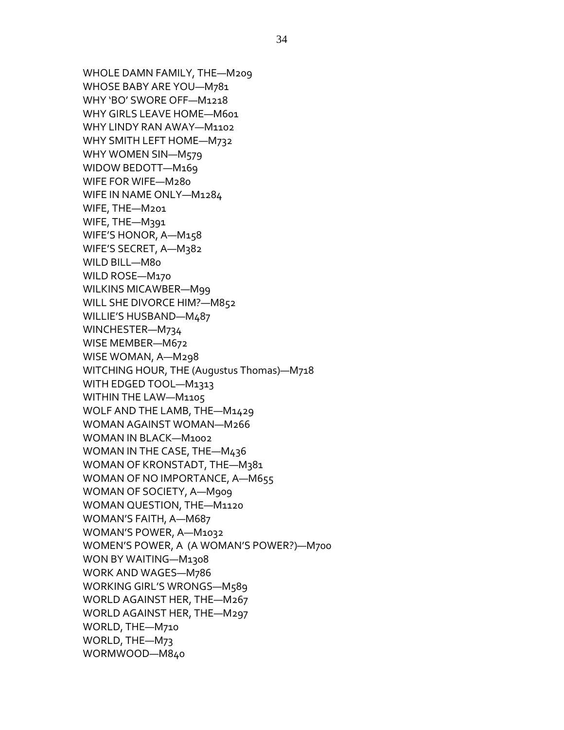WHOLE DAMN FAMILY, THE—M209 WHOSE BABY ARE YOU—M781 WHY 'BO' SWORE OFF—M1218 WHY GIRLS LEAVE HOME—M601 WHY LINDY RAN AWAY—M1102 WHY SMITH LEFT HOME—M732 WHY WOMEN SIN-M579 WIDOW BEDOTT—M169 WIFE FOR WIFE—M280 WIFE IN NAME ONLY—M1284 WIFE, THE—M201 WIFE, THE—M391 WIFE'S HONOR, A—M158 WIFE'S SECRET, A—M382 WILD BILL—M80 WILD ROSE—M170 WILKINS MICAWBER—M99 WILL SHE DIVORCE HIM?—M852 WILLIE'S HUSBAND—M487 WINCHESTER—M734 WISE MEMBER—M672 WISE WOMAN, A—M298 WITCHING HOUR, THE (Augustus Thomas)—M718 WITH EDGED TOOL—M1313 WITHIN THE LAW—M1105 WOLF AND THE LAMB, THE—M1429 WOMAN AGAINST WOMAN—M266 WOMAN IN BLACK—M1002 WOMAN IN THE CASE, THE—M436 WOMAN OF KRONSTADT, THE—M381 WOMAN OF NO IMPORTANCE, A—M655 WOMAN OF SOCIETY, A—M909 WOMAN QUESTION, THE—M1120 WOMAN'S FAITH, A—M687 WOMAN'S POWER, A—M1032 WOMEN'S POWER, A (A WOMAN'S POWER?)—M700 WON BY WAITING—M1308 WORK AND WAGES—M786 WORKING GIRL'S WRONGS—M589 WORLD AGAINST HER, THE—M267 WORLD AGAINST HER, THE—M297 WORLD, THE—M710 WORLD, THE—M73 WORMWOOD—M840